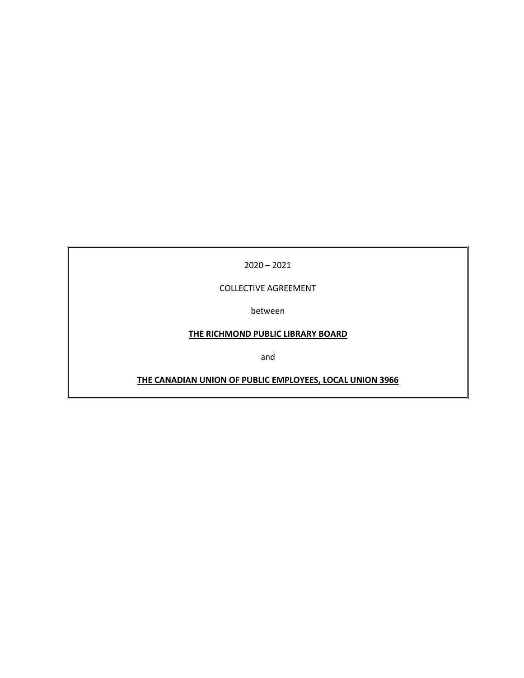2020 – 2021

COLLECTIVE AGREEMENT

between

# **THE RICHMOND PUBLIC LIBRARY BOARD**

and

**THE CANADIAN UNION OF PUBLIC EMPLOYEES, LOCAL UNION 3966**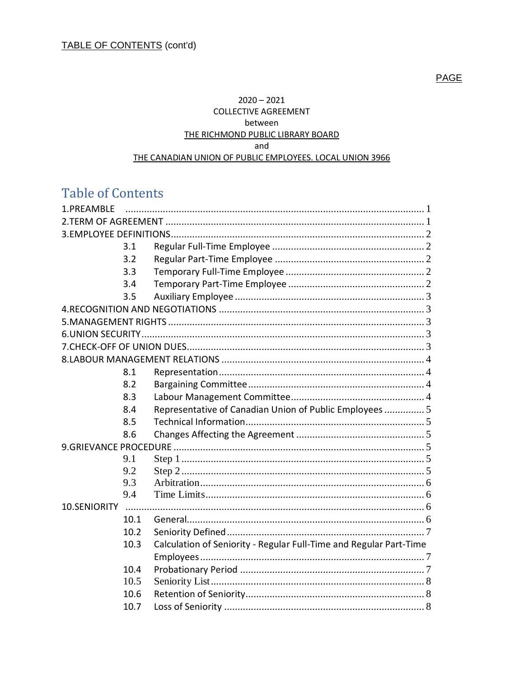$2020 - 2021$ **COLLECTIVE AGREEMENT** between THE RICHMOND PUBLIC LIBRARY BOARD and THE CANADIAN UNION OF PUBLIC EMPLOYEES. LOCAL UNION 3966

# **Table of Contents**

| 1.PREAMBLE   |      |                                                                    |  |
|--------------|------|--------------------------------------------------------------------|--|
|              |      |                                                                    |  |
|              |      |                                                                    |  |
|              | 3.1  |                                                                    |  |
|              | 3.2  |                                                                    |  |
|              | 3.3  |                                                                    |  |
|              | 3.4  |                                                                    |  |
|              | 3.5  |                                                                    |  |
|              |      |                                                                    |  |
|              |      |                                                                    |  |
|              |      |                                                                    |  |
|              |      |                                                                    |  |
|              |      |                                                                    |  |
|              | 8.1  |                                                                    |  |
|              | 8.2  |                                                                    |  |
|              | 8.3  |                                                                    |  |
|              | 8.4  | Representative of Canadian Union of Public Employees  5            |  |
|              | 8.5  |                                                                    |  |
|              | 8.6  |                                                                    |  |
|              |      |                                                                    |  |
|              | 9.1  |                                                                    |  |
|              | 9.2  |                                                                    |  |
|              | 9.3  |                                                                    |  |
|              | 9.4  |                                                                    |  |
| 10.SENIORITY |      |                                                                    |  |
|              | 10.1 |                                                                    |  |
|              | 10.2 |                                                                    |  |
|              | 10.3 | Calculation of Seniority - Regular Full-Time and Regular Part-Time |  |
|              |      |                                                                    |  |
|              | 10.4 |                                                                    |  |
|              | 10.5 |                                                                    |  |
|              | 10.6 |                                                                    |  |
|              | 10.7 |                                                                    |  |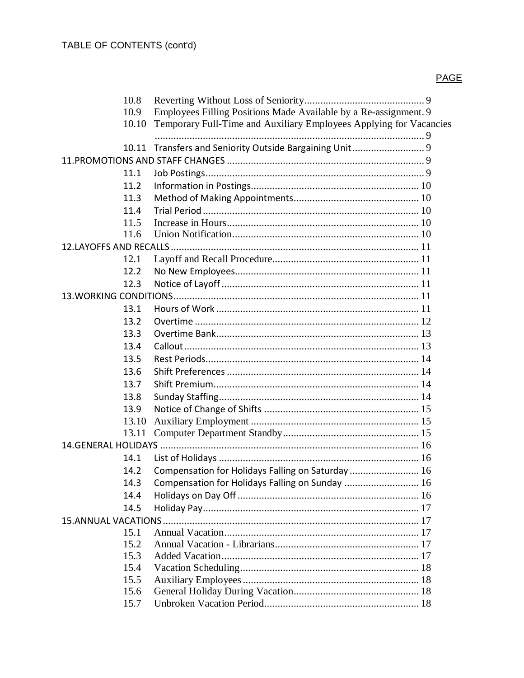|      | 10.8  |                                                                    |
|------|-------|--------------------------------------------------------------------|
|      | 10.9  | Employees Filling Positions Made Available by a Re-assignment. 9   |
|      | 10.10 | Temporary Full-Time and Auxiliary Employees Applying for Vacancies |
|      |       |                                                                    |
|      |       | 10.11 Transfers and Seniority Outside Bargaining Unit 9            |
|      |       |                                                                    |
|      | 11.1  |                                                                    |
| 11.2 |       |                                                                    |
| 11.3 |       |                                                                    |
|      | 11.4  |                                                                    |
| 11.5 |       |                                                                    |
|      | 11.6  |                                                                    |
|      |       |                                                                    |
| 12.1 |       |                                                                    |
| 12.2 |       |                                                                    |
| 12.3 |       |                                                                    |
|      |       |                                                                    |
| 13.1 |       |                                                                    |
| 13.2 |       |                                                                    |
| 13.3 |       |                                                                    |
| 13.4 |       |                                                                    |
| 13.5 |       |                                                                    |
| 13.6 |       |                                                                    |
|      | 13.7  |                                                                    |
| 13.8 |       |                                                                    |
|      | 13.9  |                                                                    |
|      | 13.10 |                                                                    |
|      | 13.11 |                                                                    |
|      |       |                                                                    |
| 14.1 |       |                                                                    |
| 14.2 |       | Compensation for Holidays Falling on Saturday 16                   |
| 14.3 |       | Compensation for Holidays Falling on Sunday  16                    |
| 14.4 |       |                                                                    |
| 14.5 |       |                                                                    |
|      |       |                                                                    |
| 15.1 |       |                                                                    |
| 15.2 |       |                                                                    |
| 15.3 |       |                                                                    |
|      | 15.4  |                                                                    |
| 15.5 |       |                                                                    |
|      | 15.6  |                                                                    |
| 15.7 |       |                                                                    |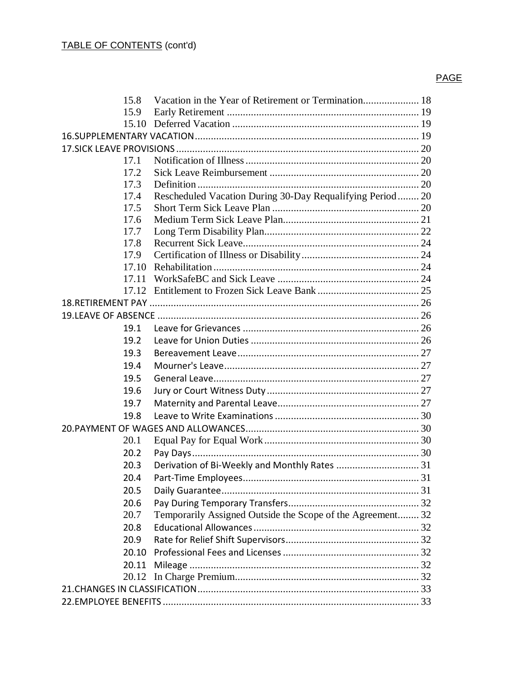| 15.8  |                                                            |  |
|-------|------------------------------------------------------------|--|
| 15.9  |                                                            |  |
|       |                                                            |  |
|       |                                                            |  |
|       |                                                            |  |
| 17.1  |                                                            |  |
| 17.2  |                                                            |  |
| 17.3  |                                                            |  |
| 17.4  | Rescheduled Vacation During 30-Day Requalifying Period  20 |  |
| 17.5  |                                                            |  |
| 17.6  |                                                            |  |
| 17.7  |                                                            |  |
| 17.8  |                                                            |  |
| 17.9  |                                                            |  |
|       |                                                            |  |
| 17.11 |                                                            |  |
|       |                                                            |  |
|       |                                                            |  |
|       |                                                            |  |
| 19.1  |                                                            |  |
| 19.2  |                                                            |  |
| 19.3  |                                                            |  |
| 19.4  |                                                            |  |
| 19.5  |                                                            |  |
| 19.6  |                                                            |  |
| 19.7  |                                                            |  |
| 19.8  |                                                            |  |
|       |                                                            |  |
| 20.1  |                                                            |  |
| 20.2  |                                                            |  |
| 20.3  | Derivation of Bi-Weekly and Monthly Rates  31              |  |
| 20.4  |                                                            |  |
| 20.5  |                                                            |  |
| 20.6  |                                                            |  |
| 20.7  | Temporarily Assigned Outside the Scope of the Agreement 32 |  |
| 20.8  |                                                            |  |
| 20.9  |                                                            |  |
|       |                                                            |  |
| 20.10 |                                                            |  |
|       |                                                            |  |
|       |                                                            |  |
|       |                                                            |  |
|       |                                                            |  |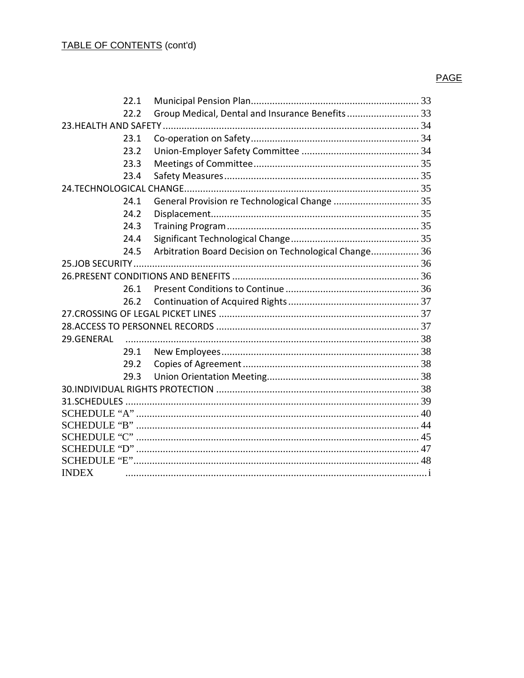|              | 22.1 |                                                       |  |
|--------------|------|-------------------------------------------------------|--|
|              | 22.2 | Group Medical, Dental and Insurance Benefits 33       |  |
|              |      |                                                       |  |
|              | 23.1 |                                                       |  |
|              | 23.2 |                                                       |  |
|              | 23.3 |                                                       |  |
|              | 23.4 |                                                       |  |
|              |      |                                                       |  |
|              | 24.1 |                                                       |  |
|              | 24.2 |                                                       |  |
|              | 24.3 |                                                       |  |
|              | 24.4 |                                                       |  |
|              | 24.5 | Arbitration Board Decision on Technological Change 36 |  |
|              |      |                                                       |  |
|              |      |                                                       |  |
|              | 26.1 |                                                       |  |
|              | 26.2 |                                                       |  |
|              |      |                                                       |  |
|              |      |                                                       |  |
| 29.GENERAL   |      |                                                       |  |
|              | 29.1 |                                                       |  |
|              | 29.2 |                                                       |  |
|              | 29.3 |                                                       |  |
|              |      |                                                       |  |
|              |      |                                                       |  |
|              |      |                                                       |  |
|              |      |                                                       |  |
|              |      |                                                       |  |
|              |      |                                                       |  |
|              |      |                                                       |  |
| <b>INDEX</b> |      |                                                       |  |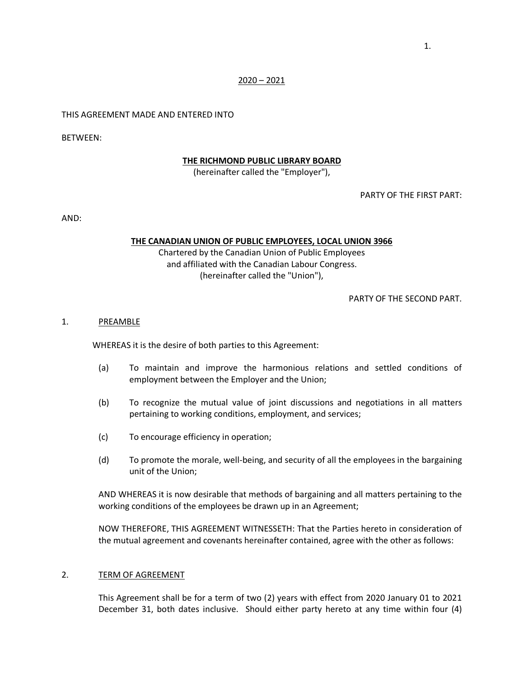#### $2020 - 2021$

### THIS AGREEMENT MADE AND ENTERED INTO

BETWEEN:

#### **THE RICHMOND PUBLIC LIBRARY BOARD**

(hereinafter called the "Employer"),

PARTY OF THE FIRST PART:

AND:

### **THE CANADIAN UNION OF PUBLIC EMPLOYEES, LOCAL UNION 3966**

Chartered by the Canadian Union of Public Employees and affiliated with the Canadian Labour Congress. (hereinafter called the "Union"),

PARTY OF THE SECOND PART.

#### <span id="page-5-0"></span>1. PREAMBLE

WHEREAS it is the desire of both parties to this Agreement:

- (a) To maintain and improve the harmonious relations and settled conditions of employment between the Employer and the Union;
- (b) To recognize the mutual value of joint discussions and negotiations in all matters pertaining to working conditions, employment, and services;
- (c) To encourage efficiency in operation;
- (d) To promote the morale, well-being, and security of all the employees in the bargaining unit of the Union;

AND WHEREAS it is now desirable that methods of bargaining and all matters pertaining to the working conditions of the employees be drawn up in an Agreement;

NOW THEREFORE, THIS AGREEMENT WITNESSETH: That the Parties hereto in consideration of the mutual agreement and covenants hereinafter contained, agree with the other as follows:

### <span id="page-5-1"></span>2. TERM OF AGREEMENT

This Agreement shall be for a term of two (2) years with effect from 2020 January 01 to 2021 December 31, both dates inclusive. Should either party hereto at any time within four (4)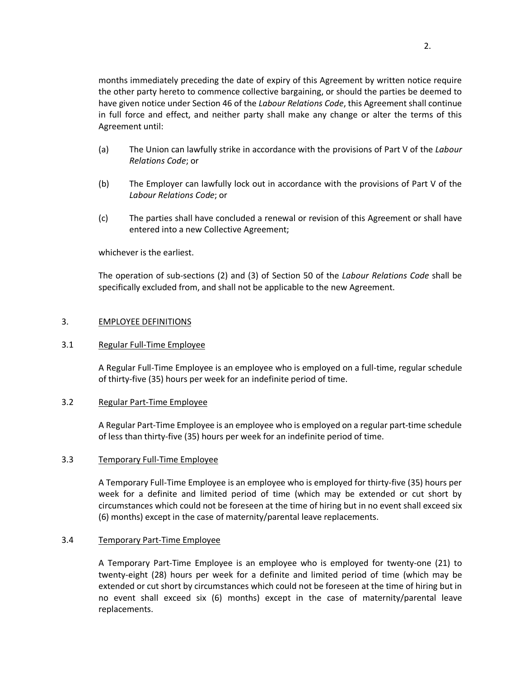months immediately preceding the date of expiry of this Agreement by written notice require the other party hereto to commence collective bargaining, or should the parties be deemed to have given notice under Section 46 of the *Labour Relations Code*, this Agreement shall continue in full force and effect, and neither party shall make any change or alter the terms of this Agreement until:

- (a) The Union can lawfully strike in accordance with the provisions of Part V of the *Labour Relations Code*; or
- (b) The Employer can lawfully lock out in accordance with the provisions of Part V of the *Labour Relations Code*; or
- (c) The parties shall have concluded a renewal or revision of this Agreement or shall have entered into a new Collective Agreement;

whichever is the earliest.

The operation of sub-sections (2) and (3) of Section 50 of the *Labour Relations Code* shall be specifically excluded from, and shall not be applicable to the new Agreement.

### <span id="page-6-0"></span>3. EMPLOYEE DEFINITIONS

### <span id="page-6-1"></span>3.1 Regular Full-Time Employee

A Regular Full-Time Employee is an employee who is employed on a full-time, regular schedule of thirty-five (35) hours per week for an indefinite period of time.

### <span id="page-6-2"></span>3.2 Regular Part-Time Employee

A Regular Part-Time Employee is an employee who is employed on a regular part-time schedule of less than thirty-five (35) hours per week for an indefinite period of time.

### <span id="page-6-3"></span>3.3 Temporary Full-Time Employee

A Temporary Full-Time Employee is an employee who is employed for thirty-five (35) hours per week for a definite and limited period of time (which may be extended or cut short by circumstances which could not be foreseen at the time of hiring but in no event shall exceed six (6) months) except in the case of maternity/parental leave replacements.

### <span id="page-6-4"></span>3.4 Temporary Part-Time Employee

A Temporary Part-Time Employee is an employee who is employed for twenty-one (21) to twenty-eight (28) hours per week for a definite and limited period of time (which may be extended or cut short by circumstances which could not be foreseen at the time of hiring but in no event shall exceed six (6) months) except in the case of maternity/parental leave replacements.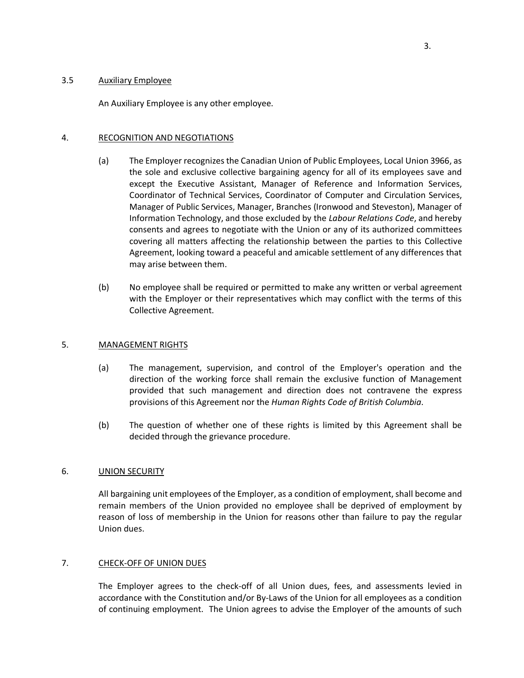## <span id="page-7-0"></span>3.5 Auxiliary Employee

An Auxiliary Employee is any other employee.

### <span id="page-7-1"></span>4. RECOGNITION AND NEGOTIATIONS

- (a) The Employer recognizes the Canadian Union of Public Employees, Local Union 3966, as the sole and exclusive collective bargaining agency for all of its employees save and except the Executive Assistant, Manager of Reference and Information Services, Coordinator of Technical Services, Coordinator of Computer and Circulation Services, Manager of Public Services, Manager, Branches (Ironwood and Steveston), Manager of Information Technology, and those excluded by the *Labour Relations Code*, and hereby consents and agrees to negotiate with the Union or any of its authorized committees covering all matters affecting the relationship between the parties to this Collective Agreement, looking toward a peaceful and amicable settlement of any differences that may arise between them.
- (b) No employee shall be required or permitted to make any written or verbal agreement with the Employer or their representatives which may conflict with the terms of this Collective Agreement.

### <span id="page-7-2"></span>5. MANAGEMENT RIGHTS

- (a) The management, supervision, and control of the Employer's operation and the direction of the working force shall remain the exclusive function of Management provided that such management and direction does not contravene the express provisions of this Agreement nor the *Human Rights Code of British Columbia*.
- (b) The question of whether one of these rights is limited by this Agreement shall be decided through the grievance procedure.

### <span id="page-7-3"></span>6. UNION SECURITY

All bargaining unit employees of the Employer, as a condition of employment, shall become and remain members of the Union provided no employee shall be deprived of employment by reason of loss of membership in the Union for reasons other than failure to pay the regular Union dues.

### <span id="page-7-4"></span>7. CHECK-OFF OF UNION DUES

The Employer agrees to the check-off of all Union dues, fees, and assessments levied in accordance with the Constitution and/or By-Laws of the Union for all employees as a condition of continuing employment. The Union agrees to advise the Employer of the amounts of such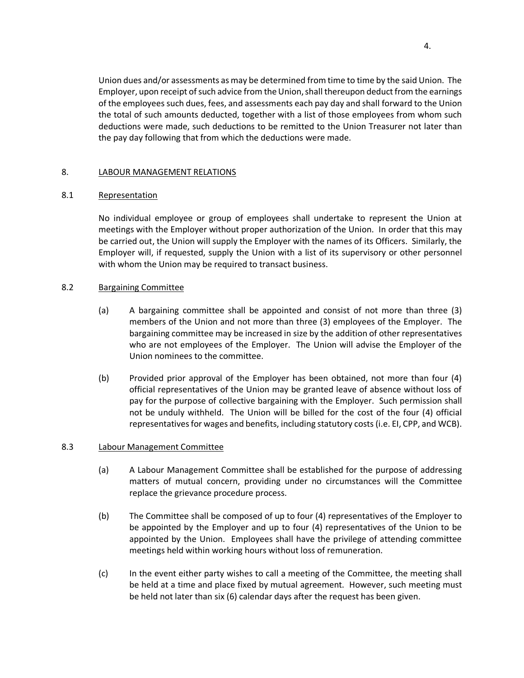Union dues and/or assessments as may be determined from time to time by the said Union. The Employer, upon receipt of such advice from the Union, shall thereupon deduct from the earnings of the employees such dues, fees, and assessments each pay day and shall forward to the Union the total of such amounts deducted, together with a list of those employees from whom such deductions were made, such deductions to be remitted to the Union Treasurer not later than the pay day following that from which the deductions were made.

# <span id="page-8-0"></span>8. LABOUR MANAGEMENT RELATIONS

## <span id="page-8-1"></span>8.1 Representation

No individual employee or group of employees shall undertake to represent the Union at meetings with the Employer without proper authorization of the Union. In order that this may be carried out, the Union will supply the Employer with the names of its Officers. Similarly, the Employer will, if requested, supply the Union with a list of its supervisory or other personnel with whom the Union may be required to transact business.

## <span id="page-8-2"></span>8.2 Bargaining Committee

- (a) A bargaining committee shall be appointed and consist of not more than three (3) members of the Union and not more than three (3) employees of the Employer. The bargaining committee may be increased in size by the addition of other representatives who are not employees of the Employer. The Union will advise the Employer of the Union nominees to the committee.
- (b) Provided prior approval of the Employer has been obtained, not more than four (4) official representatives of the Union may be granted leave of absence without loss of pay for the purpose of collective bargaining with the Employer. Such permission shall not be unduly withheld. The Union will be billed for the cost of the four (4) official representatives for wages and benefits, including statutory costs (i.e. EI, CPP, and WCB).

# <span id="page-8-3"></span>8.3 Labour Management Committee

- (a) A Labour Management Committee shall be established for the purpose of addressing matters of mutual concern, providing under no circumstances will the Committee replace the grievance procedure process.
- (b) The Committee shall be composed of up to four (4) representatives of the Employer to be appointed by the Employer and up to four (4) representatives of the Union to be appointed by the Union. Employees shall have the privilege of attending committee meetings held within working hours without loss of remuneration.
- (c) In the event either party wishes to call a meeting of the Committee, the meeting shall be held at a time and place fixed by mutual agreement. However, such meeting must be held not later than six (6) calendar days after the request has been given.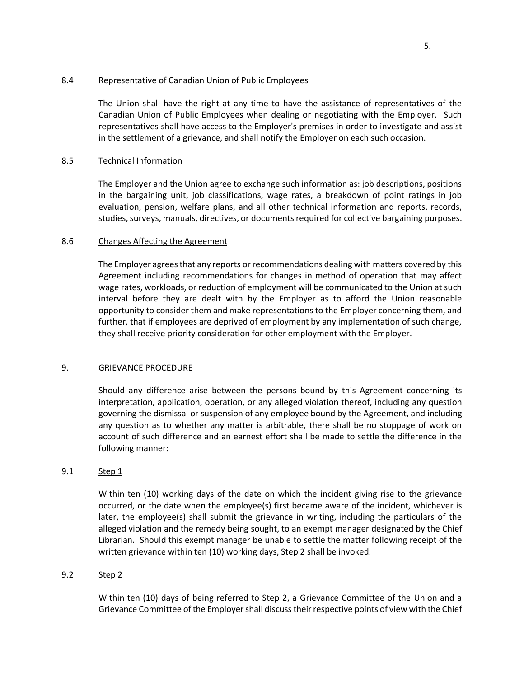## <span id="page-9-0"></span>8.4 Representative of Canadian Union of Public Employees

The Union shall have the right at any time to have the assistance of representatives of the Canadian Union of Public Employees when dealing or negotiating with the Employer. Such representatives shall have access to the Employer's premises in order to investigate and assist in the settlement of a grievance, and shall notify the Employer on each such occasion.

# <span id="page-9-1"></span>8.5 Technical Information

The Employer and the Union agree to exchange such information as: job descriptions, positions in the bargaining unit, job classifications, wage rates, a breakdown of point ratings in job evaluation, pension, welfare plans, and all other technical information and reports, records, studies, surveys, manuals, directives, or documents required for collective bargaining purposes.

# <span id="page-9-2"></span>8.6 Changes Affecting the Agreement

The Employer agrees that any reports or recommendations dealing with matters covered by this Agreement including recommendations for changes in method of operation that may affect wage rates, workloads, or reduction of employment will be communicated to the Union at such interval before they are dealt with by the Employer as to afford the Union reasonable opportunity to consider them and make representations to the Employer concerning them, and further, that if employees are deprived of employment by any implementation of such change, they shall receive priority consideration for other employment with the Employer.

### <span id="page-9-3"></span>9. GRIEVANCE PROCEDURE

Should any difference arise between the persons bound by this Agreement concerning its interpretation, application, operation, or any alleged violation thereof, including any question governing the dismissal or suspension of any employee bound by the Agreement, and including any question as to whether any matter is arbitrable, there shall be no stoppage of work on account of such difference and an earnest effort shall be made to settle the difference in the following manner:

### <span id="page-9-4"></span>9.1 Step 1

Within ten (10) working days of the date on which the incident giving rise to the grievance occurred, or the date when the employee(s) first became aware of the incident, whichever is later, the employee(s) shall submit the grievance in writing, including the particulars of the alleged violation and the remedy being sought, to an exempt manager designated by the Chief Librarian. Should this exempt manager be unable to settle the matter following receipt of the written grievance within ten (10) working days, Step 2 shall be invoked.

# <span id="page-9-5"></span>9.2 Step 2

Within ten (10) days of being referred to Step 2, a Grievance Committee of the Union and a Grievance Committee of the Employer shall discuss their respective points of view with the Chief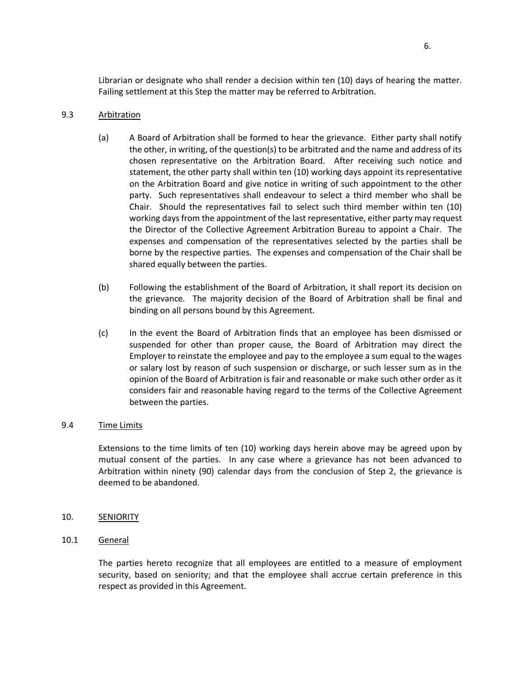Librarian or designate who shall render a decision within ten (10) days of hearing the matter. Failing settlement at this Step the matter may be referred to Arbitration.

# <span id="page-10-0"></span>9.3 Arbitration

- (a) A Board of Arbitration shall be formed to hear the grievance. Either party shall notify the other, in writing, of the question(s) to be arbitrated and the name and address of its chosen representative on the Arbitration Board. After receiving such notice and statement, the other party shall within ten (10) working days appoint its representative on the Arbitration Board and give notice in writing of such appointment to the other party. Such representatives shall endeavour to select a third member who shall be Chair. Should the representatives fail to select such third member within ten (10) working days from the appointment of the last representative, either party may request the Director of the Collective Agreement Arbitration Bureau to appoint a Chair. The expenses and compensation of the representatives selected by the parties shall be borne by the respective parties. The expenses and compensation of the Chair shall be shared equally between the parties.
- (b) Following the establishment of the Board of Arbitration, it shall report its decision on the grievance. The majority decision of the Board of Arbitration shall be final and binding on all persons bound by this Agreement.
- (c) In the event the Board of Arbitration finds that an employee has been dismissed or suspended for other than proper cause, the Board of Arbitration may direct the Employer to reinstate the employee and pay to the employee a sum equal to the wages or salary lost by reason of such suspension or discharge, or such lesser sum as in the opinion of the Board of Arbitration is fair and reasonable or make such other order as it considers fair and reasonable having regard to the terms of the Collective Agreement between the parties.

# <span id="page-10-1"></span>9.4 Time Limits

Extensions to the time limits of ten (10) working days herein above may be agreed upon by mutual consent of the parties. In any case where a grievance has not been advanced to Arbitration within ninety (90) calendar days from the conclusion of Step 2, the grievance is deemed to be abandoned.

- <span id="page-10-2"></span>10. SENIORITY
- <span id="page-10-3"></span>10.1 General

The parties hereto recognize that all employees are entitled to a measure of employment security, based on seniority; and that the employee shall accrue certain preference in this respect as provided in this Agreement.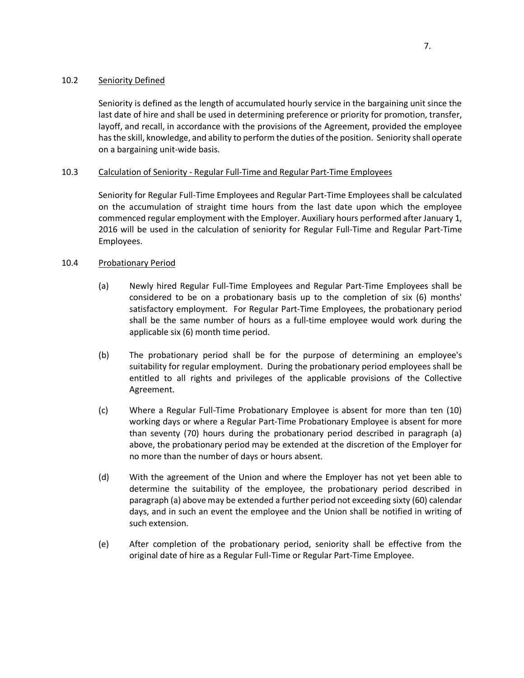## <span id="page-11-0"></span>10.2 Seniority Defined

Seniority is defined as the length of accumulated hourly service in the bargaining unit since the last date of hire and shall be used in determining preference or priority for promotion, transfer, layoff, and recall, in accordance with the provisions of the Agreement, provided the employee has the skill, knowledge, and ability to perform the duties of the position. Seniority shall operate on a bargaining unit-wide basis.

# <span id="page-11-1"></span>10.3 Calculation of Seniority - Regular Full-Time and Regular Part-Time Employees

Seniority for Regular Full-Time Employees and Regular Part-Time Employees shall be calculated on the accumulation of straight time hours from the last date upon which the employee commenced regular employment with the Employer. Auxiliary hours performed after January 1, 2016 will be used in the calculation of seniority for Regular Full-Time and Regular Part-Time Employees.

## <span id="page-11-2"></span>10.4 Probationary Period

- (a) Newly hired Regular Full-Time Employees and Regular Part-Time Employees shall be considered to be on a probationary basis up to the completion of six (6) months' satisfactory employment. For Regular Part-Time Employees, the probationary period shall be the same number of hours as a full-time employee would work during the applicable six (6) month time period.
- (b) The probationary period shall be for the purpose of determining an employee's suitability for regular employment. During the probationary period employees shall be entitled to all rights and privileges of the applicable provisions of the Collective Agreement.
- (c) Where a Regular Full-Time Probationary Employee is absent for more than ten (10) working days or where a Regular Part-Time Probationary Employee is absent for more than seventy (70) hours during the probationary period described in paragraph (a) above, the probationary period may be extended at the discretion of the Employer for no more than the number of days or hours absent.
- (d) With the agreement of the Union and where the Employer has not yet been able to determine the suitability of the employee, the probationary period described in paragraph (a) above may be extended a further period not exceeding sixty (60) calendar days, and in such an event the employee and the Union shall be notified in writing of such extension.
- (e) After completion of the probationary period, seniority shall be effective from the original date of hire as a Regular Full-Time or Regular Part-Time Employee.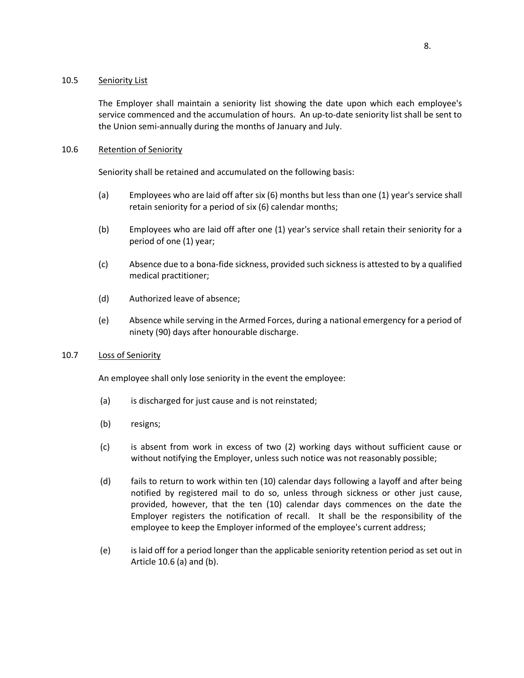### <span id="page-12-0"></span>10.5 Seniority List

The Employer shall maintain a seniority list showing the date upon which each employee's service commenced and the accumulation of hours. An up-to-date seniority list shall be sent to the Union semi-annually during the months of January and July.

# <span id="page-12-1"></span>10.6 Retention of Seniority

Seniority shall be retained and accumulated on the following basis:

- (a) Employees who are laid off after six (6) months but less than one (1) year's service shall retain seniority for a period of six (6) calendar months;
- (b) Employees who are laid off after one (1) year's service shall retain their seniority for a period of one (1) year;
- (c) Absence due to a bona-fide sickness, provided such sickness is attested to by a qualified medical practitioner;
- (d) Authorized leave of absence;
- (e) Absence while serving in the Armed Forces, during a national emergency for a period of ninety (90) days after honourable discharge.

# <span id="page-12-2"></span>10.7 Loss of Seniority

An employee shall only lose seniority in the event the employee:

- (a) is discharged for just cause and is not reinstated;
- (b) resigns;
- (c) is absent from work in excess of two (2) working days without sufficient cause or without notifying the Employer, unless such notice was not reasonably possible;
- (d) fails to return to work within ten (10) calendar days following a layoff and after being notified by registered mail to do so, unless through sickness or other just cause, provided, however, that the ten (10) calendar days commences on the date the Employer registers the notification of recall. It shall be the responsibility of the employee to keep the Employer informed of the employee's current address;
- (e) is laid off for a period longer than the applicable seniority retention period as set out in Article 10.6 (a) and (b).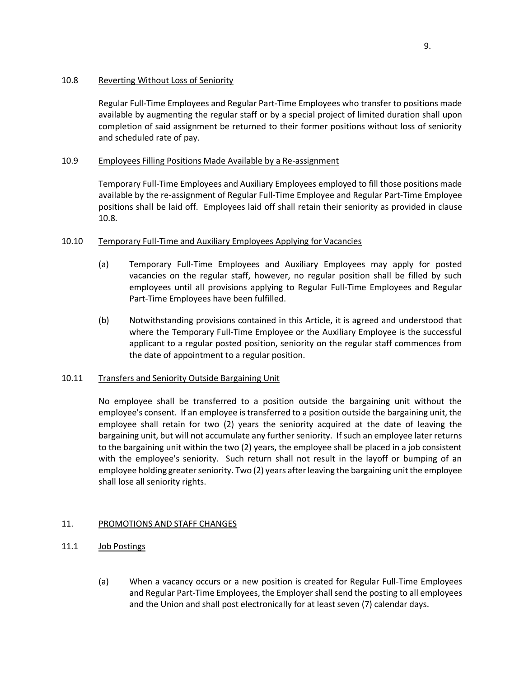# <span id="page-13-0"></span>10.8 Reverting Without Loss of Seniority

Regular Full-Time Employees and Regular Part-Time Employees who transfer to positions made available by augmenting the regular staff or by a special project of limited duration shall upon completion of said assignment be returned to their former positions without loss of seniority and scheduled rate of pay.

# <span id="page-13-1"></span>10.9 Employees Filling Positions Made Available by a Re-assignment

Temporary Full-Time Employees and Auxiliary Employees employed to fill those positions made available by the re-assignment of Regular Full-Time Employee and Regular Part-Time Employee positions shall be laid off. Employees laid off shall retain their seniority as provided in clause 10.8.

# <span id="page-13-2"></span>10.10 Temporary Full-Time and Auxiliary Employees Applying for Vacancies

- (a) Temporary Full-Time Employees and Auxiliary Employees may apply for posted vacancies on the regular staff, however, no regular position shall be filled by such employees until all provisions applying to Regular Full-Time Employees and Regular Part-Time Employees have been fulfilled.
- (b) Notwithstanding provisions contained in this Article, it is agreed and understood that where the Temporary Full-Time Employee or the Auxiliary Employee is the successful applicant to a regular posted position, seniority on the regular staff commences from the date of appointment to a regular position.

# <span id="page-13-3"></span>10.11 Transfers and Seniority Outside Bargaining Unit

No employee shall be transferred to a position outside the bargaining unit without the employee's consent. If an employee is transferred to a position outside the bargaining unit, the employee shall retain for two (2) years the seniority acquired at the date of leaving the bargaining unit, but will not accumulate any further seniority. If such an employee later returns to the bargaining unit within the two (2) years, the employee shall be placed in a job consistent with the employee's seniority. Such return shall not result in the layoff or bumping of an employee holding greater seniority. Two (2) years after leaving the bargaining unit the employee shall lose all seniority rights.

# <span id="page-13-4"></span>11. PROMOTIONS AND STAFF CHANGES

- <span id="page-13-5"></span>11.1 **Job Postings** 
	- (a) When a vacancy occurs or a new position is created for Regular Full-Time Employees and Regular Part-Time Employees, the Employer shall send the posting to all employees and the Union and shall post electronically for at least seven (7) calendar days.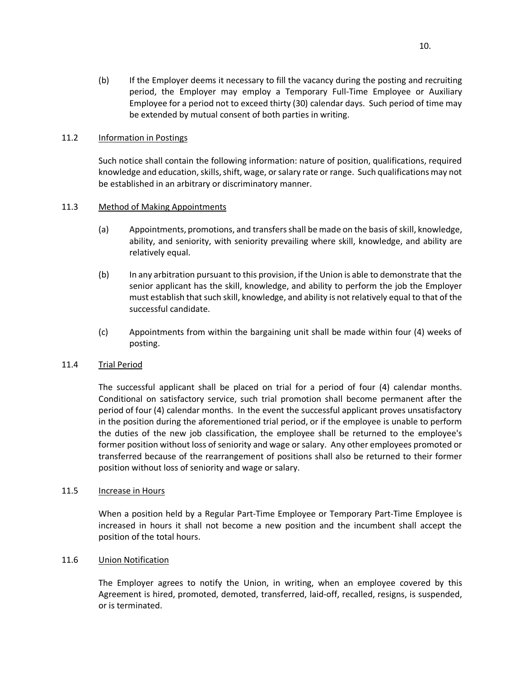(b) If the Employer deems it necessary to fill the vacancy during the posting and recruiting period, the Employer may employ a Temporary Full-Time Employee or Auxiliary Employee for a period not to exceed thirty (30) calendar days. Such period of time may be extended by mutual consent of both parties in writing.

## <span id="page-14-0"></span>11.2 Information in Postings

Such notice shall contain the following information: nature of position, qualifications, required knowledge and education, skills, shift, wage, or salary rate or range. Such qualifications may not be established in an arbitrary or discriminatory manner.

# <span id="page-14-1"></span>11.3 Method of Making Appointments

- (a) Appointments, promotions, and transfers shall be made on the basis of skill, knowledge, ability, and seniority, with seniority prevailing where skill, knowledge, and ability are relatively equal.
- (b) In any arbitration pursuant to this provision, if the Union is able to demonstrate that the senior applicant has the skill, knowledge, and ability to perform the job the Employer must establish that such skill, knowledge, and ability is not relatively equal to that of the successful candidate.
- (c) Appointments from within the bargaining unit shall be made within four (4) weeks of posting.

# <span id="page-14-2"></span>11.4 Trial Period

The successful applicant shall be placed on trial for a period of four (4) calendar months. Conditional on satisfactory service, such trial promotion shall become permanent after the period of four (4) calendar months. In the event the successful applicant proves unsatisfactory in the position during the aforementioned trial period, or if the employee is unable to perform the duties of the new job classification, the employee shall be returned to the employee's former position without loss of seniority and wage or salary. Any other employees promoted or transferred because of the rearrangement of positions shall also be returned to their former position without loss of seniority and wage or salary.

### <span id="page-14-3"></span>11.5 Increase in Hours

When a position held by a Regular Part-Time Employee or Temporary Part-Time Employee is increased in hours it shall not become a new position and the incumbent shall accept the position of the total hours.

### <span id="page-14-4"></span>11.6 Union Notification

The Employer agrees to notify the Union, in writing, when an employee covered by this Agreement is hired, promoted, demoted, transferred, laid-off, recalled, resigns, is suspended, or is terminated.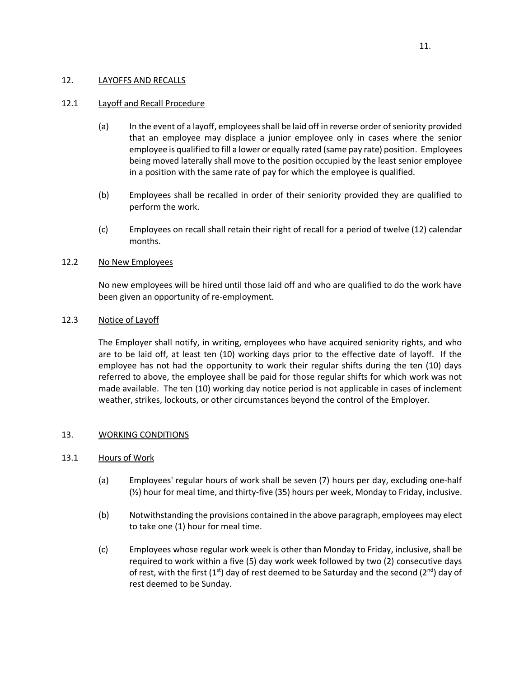## <span id="page-15-0"></span>12. LAYOFFS AND RECALLS

# <span id="page-15-1"></span>12.1 Layoff and Recall Procedure

- (a) In the event of a layoff, employees shall be laid off in reverse order of seniority provided that an employee may displace a junior employee only in cases where the senior employee is qualified to fill a lower or equally rated (same pay rate) position. Employees being moved laterally shall move to the position occupied by the least senior employee in a position with the same rate of pay for which the employee is qualified.
- (b) Employees shall be recalled in order of their seniority provided they are qualified to perform the work.
- (c) Employees on recall shall retain their right of recall for a period of twelve (12) calendar months.

# <span id="page-15-2"></span>12.2 No New Employees

No new employees will be hired until those laid off and who are qualified to do the work have been given an opportunity of re-employment.

# <span id="page-15-3"></span>12.3 Notice of Layoff

The Employer shall notify, in writing, employees who have acquired seniority rights, and who are to be laid off, at least ten (10) working days prior to the effective date of layoff. If the employee has not had the opportunity to work their regular shifts during the ten (10) days referred to above, the employee shall be paid for those regular shifts for which work was not made available. The ten (10) working day notice period is not applicable in cases of inclement weather, strikes, lockouts, or other circumstances beyond the control of the Employer.

### <span id="page-15-4"></span>13. WORKING CONDITIONS

### <span id="page-15-5"></span>13.1 Hours of Work

- (a) Employees' regular hours of work shall be seven (7) hours per day, excluding one-half (½) hour for meal time, and thirty-five (35) hours per week, Monday to Friday, inclusive.
- (b) Notwithstanding the provisions contained in the above paragraph, employees may elect to take one (1) hour for meal time.
- (c) Employees whose regular work week is other than Monday to Friday, inclusive, shall be required to work within a five (5) day work week followed by two (2) consecutive days of rest, with the first (1st) day of rest deemed to be Saturday and the second (2<sup>nd</sup>) day of rest deemed to be Sunday.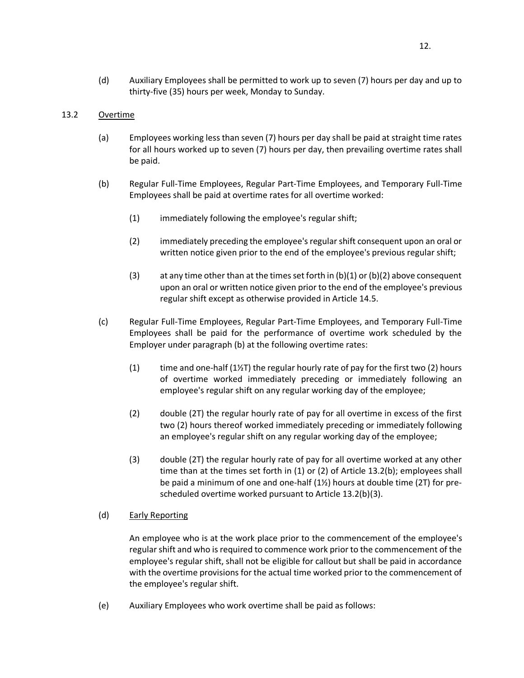(d) Auxiliary Employees shall be permitted to work up to seven (7) hours per day and up to thirty-five (35) hours per week, Monday to Sunday.

# <span id="page-16-0"></span>13.2 Overtime

- (a) Employees working less than seven (7) hours per day shall be paid at straight time rates for all hours worked up to seven (7) hours per day, then prevailing overtime rates shall be paid.
- (b) Regular Full-Time Employees, Regular Part-Time Employees, and Temporary Full-Time Employees shall be paid at overtime rates for all overtime worked:
	- (1) immediately following the employee's regular shift;
	- (2) immediately preceding the employee's regular shift consequent upon an oral or written notice given prior to the end of the employee's previous regular shift;
	- (3) at any time other than at the times set forth in  $(b)(1)$  or  $(b)(2)$  above consequent upon an oral or written notice given prior to the end of the employee's previous regular shift except as otherwise provided in Article 14.5.
- (c) Regular Full-Time Employees, Regular Part-Time Employees, and Temporary Full-Time Employees shall be paid for the performance of overtime work scheduled by the Employer under paragraph (b) at the following overtime rates:
	- (1) time and one-half (1 $\frac{1}{2}$ T) the regular hourly rate of pay for the first two (2) hours of overtime worked immediately preceding or immediately following an employee's regular shift on any regular working day of the employee;
	- (2) double (2T) the regular hourly rate of pay for all overtime in excess of the first two (2) hours thereof worked immediately preceding or immediately following an employee's regular shift on any regular working day of the employee;
	- (3) double (2T) the regular hourly rate of pay for all overtime worked at any other time than at the times set forth in (1) or (2) of Article 13.2(b); employees shall be paid a minimum of one and one-half (1½) hours at double time (2T) for prescheduled overtime worked pursuant to Article 13.2(b)(3).

# (d) Early Reporting

An employee who is at the work place prior to the commencement of the employee's regular shift and who is required to commence work prior to the commencement of the employee's regular shift, shall not be eligible for callout but shall be paid in accordance with the overtime provisions for the actual time worked prior to the commencement of the employee's regular shift.

(e) Auxiliary Employees who work overtime shall be paid as follows: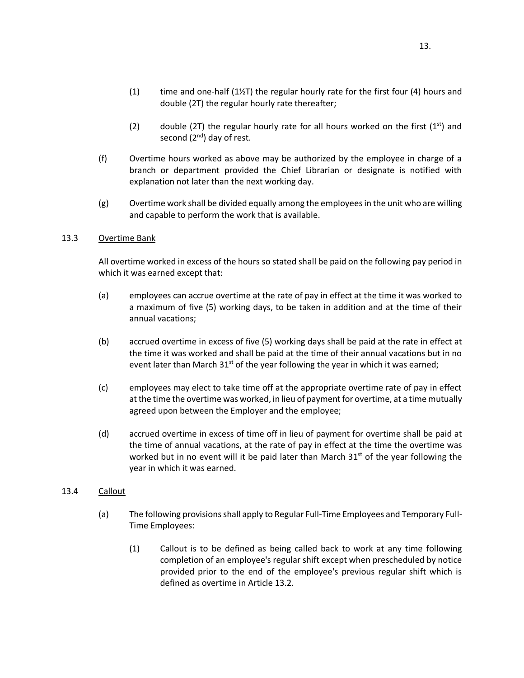- $(1)$  time and one-half  $(1\frac{1}{2})$  the regular hourly rate for the first four  $(4)$  hours and double (2T) the regular hourly rate thereafter;
- (2) double (2T) the regular hourly rate for all hours worked on the first  $(1^{st})$  and second  $(2^{nd})$  day of rest.
- (f) Overtime hours worked as above may be authorized by the employee in charge of a branch or department provided the Chief Librarian or designate is notified with explanation not later than the next working day.
- (g) Overtime work shall be divided equally among the employees in the unit who are willing and capable to perform the work that is available.

### <span id="page-17-0"></span>13.3 Overtime Bank

All overtime worked in excess of the hours so stated shall be paid on the following pay period in which it was earned except that:

- (a) employees can accrue overtime at the rate of pay in effect at the time it was worked to a maximum of five (5) working days, to be taken in addition and at the time of their annual vacations;
- (b) accrued overtime in excess of five (5) working days shall be paid at the rate in effect at the time it was worked and shall be paid at the time of their annual vacations but in no event later than March  $31^{st}$  of the year following the year in which it was earned;
- (c) employees may elect to take time off at the appropriate overtime rate of pay in effect at the time the overtime was worked, in lieu of payment for overtime, at a time mutually agreed upon between the Employer and the employee;
- (d) accrued overtime in excess of time off in lieu of payment for overtime shall be paid at the time of annual vacations, at the rate of pay in effect at the time the overtime was worked but in no event will it be paid later than March  $31<sup>st</sup>$  of the year following the year in which it was earned.

### <span id="page-17-1"></span>13.4 Callout

- (a) The following provisions shall apply to Regular Full-Time Employees and Temporary Full-Time Employees:
	- (1) Callout is to be defined as being called back to work at any time following completion of an employee's regular shift except when prescheduled by notice provided prior to the end of the employee's previous regular shift which is defined as overtime in Article 13.2.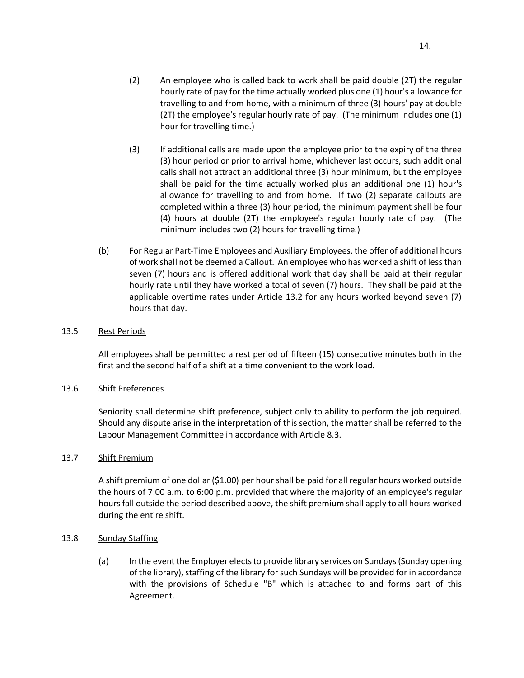- (2) An employee who is called back to work shall be paid double (2T) the regular hourly rate of pay for the time actually worked plus one (1) hour's allowance for travelling to and from home, with a minimum of three (3) hours' pay at double (2T) the employee's regular hourly rate of pay. (The minimum includes one (1) hour for travelling time.)
- (3) If additional calls are made upon the employee prior to the expiry of the three (3) hour period or prior to arrival home, whichever last occurs, such additional calls shall not attract an additional three (3) hour minimum, but the employee shall be paid for the time actually worked plus an additional one (1) hour's allowance for travelling to and from home. If two (2) separate callouts are completed within a three (3) hour period, the minimum payment shall be four (4) hours at double (2T) the employee's regular hourly rate of pay. (The minimum includes two (2) hours for travelling time.)
- (b) For Regular Part-Time Employees and Auxiliary Employees, the offer of additional hours of work shall not be deemed a Callout. An employee who has worked a shift of less than seven (7) hours and is offered additional work that day shall be paid at their regular hourly rate until they have worked a total of seven (7) hours. They shall be paid at the applicable overtime rates under Article 13.2 for any hours worked beyond seven (7) hours that day.

## <span id="page-18-0"></span>13.5 Rest Periods

All employees shall be permitted a rest period of fifteen (15) consecutive minutes both in the first and the second half of a shift at a time convenient to the work load.

### <span id="page-18-1"></span>13.6 Shift Preferences

Seniority shall determine shift preference, subject only to ability to perform the job required. Should any dispute arise in the interpretation of this section, the matter shall be referred to the Labour Management Committee in accordance with Article 8.3.

### <span id="page-18-2"></span>13.7 Shift Premium

A shift premium of one dollar (\$1.00) per hour shall be paid for all regular hours worked outside the hours of 7:00 a.m. to 6:00 p.m. provided that where the majority of an employee's regular hours fall outside the period described above, the shift premium shall apply to all hours worked during the entire shift.

# <span id="page-18-3"></span>13.8 Sunday Staffing

(a) In the event the Employer elects to provide library services on Sundays (Sunday opening of the library), staffing of the library for such Sundays will be provided for in accordance with the provisions of Schedule "B" which is attached to and forms part of this Agreement.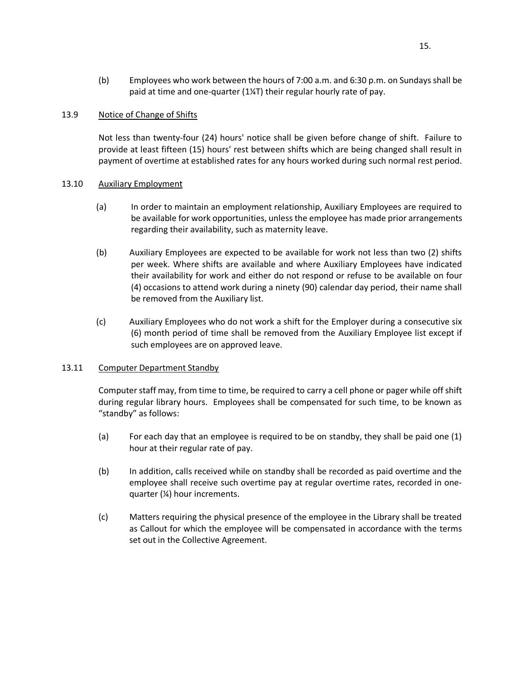(b) Employees who work between the hours of 7:00 a.m. and 6:30 p.m. on Sundays shall be paid at time and one-quarter (1¼T) their regular hourly rate of pay.

## <span id="page-19-0"></span>13.9 Notice of Change of Shifts

Not less than twenty-four (24) hours' notice shall be given before change of shift. Failure to provide at least fifteen (15) hours' rest between shifts which are being changed shall result in payment of overtime at established rates for any hours worked during such normal rest period.

### <span id="page-19-1"></span>13.10 Auxiliary Employment

- (a) In order to maintain an employment relationship, Auxiliary Employees are required to be available for work opportunities, unless the employee has made prior arrangements regarding their availability, such as maternity leave.
- (b) Auxiliary Employees are expected to be available for work not less than two (2) shifts per week. Where shifts are available and where Auxiliary Employees have indicated their availability for work and either do not respond or refuse to be available on four (4) occasions to attend work during a ninety (90) calendar day period, their name shall be removed from the Auxiliary list.
- (c) Auxiliary Employees who do not work a shift for the Employer during a consecutive six (6) month period of time shall be removed from the Auxiliary Employee list except if such employees are on approved leave.

### <span id="page-19-2"></span>13.11 Computer Department Standby

Computer staff may, from time to time, be required to carry a cell phone or pager while off shift during regular library hours. Employees shall be compensated for such time, to be known as "standby" as follows:

- (a) For each day that an employee is required to be on standby, they shall be paid one (1) hour at their regular rate of pay.
- (b) In addition, calls received while on standby shall be recorded as paid overtime and the employee shall receive such overtime pay at regular overtime rates, recorded in onequarter (¼) hour increments.
- (c) Matters requiring the physical presence of the employee in the Library shall be treated as Callout for which the employee will be compensated in accordance with the terms set out in the Collective Agreement.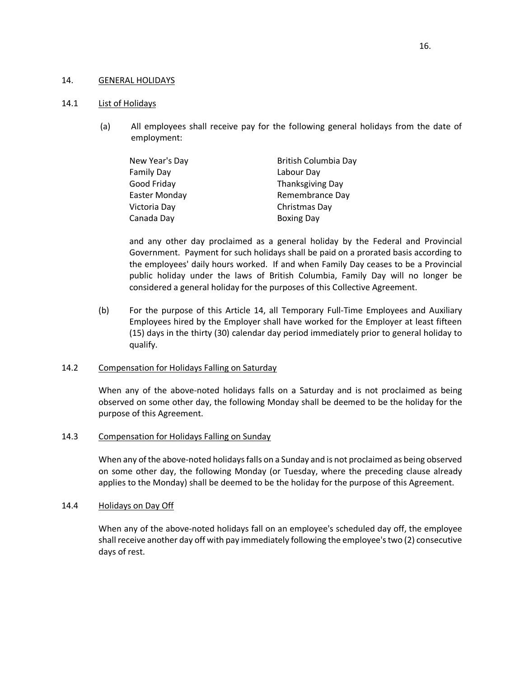### <span id="page-20-0"></span>14. GENERAL HOLIDAYS

### <span id="page-20-1"></span>14.1 List of Holidays

(a) All employees shall receive pay for the following general holidays from the date of employment:

| New Year's Day    | British Columbia Day    |
|-------------------|-------------------------|
| <b>Family Day</b> | Labour Day              |
| Good Friday       | <b>Thanksgiving Day</b> |
| Easter Monday     | Remembrance Day         |
| Victoria Day      | Christmas Day           |
| Canada Day        | <b>Boxing Day</b>       |

and any other day proclaimed as a general holiday by the Federal and Provincial Government. Payment for such holidays shall be paid on a prorated basis according to the employees' daily hours worked. If and when Family Day ceases to be a Provincial public holiday under the laws of British Columbia, Family Day will no longer be considered a general holiday for the purposes of this Collective Agreement.

(b) For the purpose of this Article 14, all Temporary Full-Time Employees and Auxiliary Employees hired by the Employer shall have worked for the Employer at least fifteen (15) days in the thirty (30) calendar day period immediately prior to general holiday to qualify.

### <span id="page-20-2"></span>14.2 Compensation for Holidays Falling on Saturday

When any of the above-noted holidays falls on a Saturday and is not proclaimed as being observed on some other day, the following Monday shall be deemed to be the holiday for the purpose of this Agreement.

### <span id="page-20-3"></span>14.3 Compensation for Holidays Falling on Sunday

When any of the above-noted holidays falls on a Sunday and is not proclaimed as being observed on some other day, the following Monday (or Tuesday, where the preceding clause already applies to the Monday) shall be deemed to be the holiday for the purpose of this Agreement.

### <span id="page-20-4"></span>14.4 Holidays on Day Off

When any of the above-noted holidays fall on an employee's scheduled day off, the employee shall receive another day off with pay immediately following the employee's two (2) consecutive days of rest.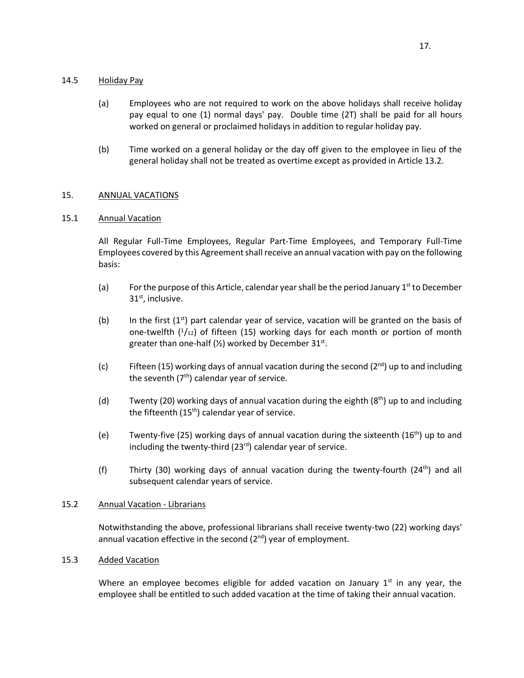# <span id="page-21-0"></span>14.5 Holiday Pay

- (a) Employees who are not required to work on the above holidays shall receive holiday pay equal to one (1) normal days' pay. Double time (2T) shall be paid for all hours worked on general or proclaimed holidays in addition to regular holiday pay.
- (b) Time worked on a general holiday or the day off given to the employee in lieu of the general holiday shall not be treated as overtime except as provided in Article 13.2.

# <span id="page-21-1"></span>15. ANNUAL VACATIONS

# <span id="page-21-2"></span>15.1 Annual Vacation

All Regular Full-Time Employees, Regular Part-Time Employees, and Temporary Full-Time Employees covered by this Agreement shall receive an annual vacation with pay on the following basis:

- (a) For the purpose of this Article, calendar year shall be the period January  $1^{st}$  to December  $31<sup>st</sup>$ , inclusive.
- (b) In the first  $(1<sup>st</sup>)$  part calendar year of service, vacation will be granted on the basis of one-twelfth  $(1/12)$  of fifteen (15) working days for each month or portion of month greater than one-half ( $\frac{1}{2}$ ) worked by December 31<sup>st</sup>.
- (c) Fifteen (15) working days of annual vacation during the second ( $2^{nd}$ ) up to and including the seventh  $(7<sup>th</sup>)$  calendar year of service.
- (d) Twenty (20) working days of annual vacation during the eighth ( $8<sup>th</sup>$ ) up to and including the fifteenth  $(15<sup>th</sup>)$  calendar year of service.
- (e) Twenty-five (25) working days of annual vacation during the sixteenth (16<sup>th</sup>) up to and including the twenty-third (23 $rd$ ) calendar year of service.
- (f) Thirty (30) working days of annual vacation during the twenty-fourth (24<sup>th</sup>) and all subsequent calendar years of service.

# <span id="page-21-3"></span>15.2 Annual Vacation - Librarians

Notwithstanding the above, professional librarians shall receive twenty-two (22) working days' annual vacation effective in the second  $(2^{nd})$  year of employment.

# <span id="page-21-4"></span>15.3 Added Vacation

Where an employee becomes eligible for added vacation on January  $1<sup>st</sup>$  in any year, the employee shall be entitled to such added vacation at the time of taking their annual vacation.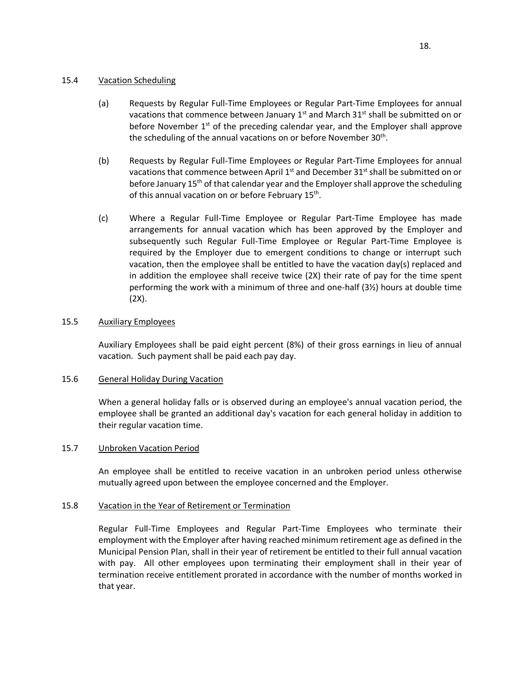# <span id="page-22-0"></span>15.4 Vacation Scheduling

- (a) Requests by Regular Full-Time Employees or Regular Part-Time Employees for annual vacations that commence between January  $1<sup>st</sup>$  and March 31<sup>st</sup> shall be submitted on or before November  $1<sup>st</sup>$  of the preceding calendar year, and the Employer shall approve the scheduling of the annual vacations on or before November 30<sup>th</sup>.
- (b) Requests by Regular Full-Time Employees or Regular Part-Time Employees for annual vacations that commence between April  $1<sup>st</sup>$  and December 31 $<sup>st</sup>$  shall be submitted on or</sup> before January  $15<sup>th</sup>$  of that calendar year and the Employer shall approve the scheduling of this annual vacation on or before February 15<sup>th</sup>.
- (c) Where a Regular Full-Time Employee or Regular Part-Time Employee has made arrangements for annual vacation which has been approved by the Employer and subsequently such Regular Full-Time Employee or Regular Part-Time Employee is required by the Employer due to emergent conditions to change or interrupt such vacation, then the employee shall be entitled to have the vacation day(s) replaced and in addition the employee shall receive twice (2X) their rate of pay for the time spent performing the work with a minimum of three and one-half (3½) hours at double time (2X).

## <span id="page-22-1"></span>15.5 Auxiliary Employees

Auxiliary Employees shall be paid eight percent (8%) of their gross earnings in lieu of annual vacation. Such payment shall be paid each pay day.

### <span id="page-22-2"></span>15.6 General Holiday During Vacation

When a general holiday falls or is observed during an employee's annual vacation period, the employee shall be granted an additional day's vacation for each general holiday in addition to their regular vacation time.

### <span id="page-22-3"></span>15.7 Unbroken Vacation Period

An employee shall be entitled to receive vacation in an unbroken period unless otherwise mutually agreed upon between the employee concerned and the Employer.

### <span id="page-22-4"></span>15.8 Vacation in the Year of Retirement or Termination

Regular Full-Time Employees and Regular Part-Time Employees who terminate their employment with the Employer after having reached minimum retirement age as defined in the Municipal Pension Plan, shall in their year of retirement be entitled to their full annual vacation with pay. All other employees upon terminating their employment shall in their year of termination receive entitlement prorated in accordance with the number of months worked in that year.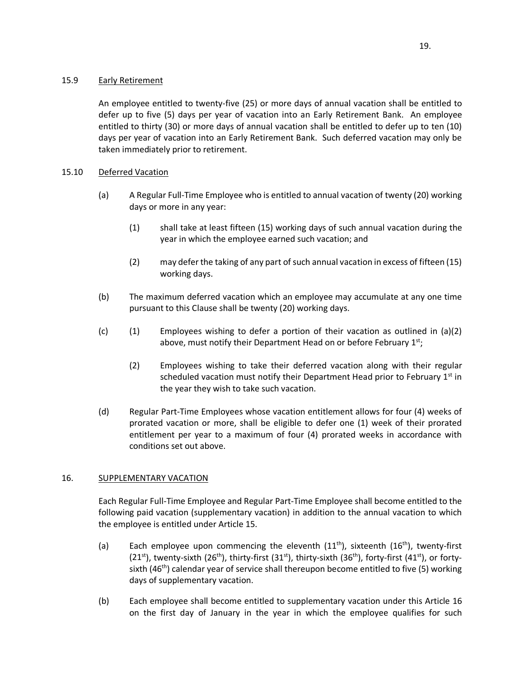<span id="page-23-0"></span>An employee entitled to twenty-five (25) or more days of annual vacation shall be entitled to defer up to five (5) days per year of vacation into an Early Retirement Bank. An employee entitled to thirty (30) or more days of annual vacation shall be entitled to defer up to ten (10) days per year of vacation into an Early Retirement Bank. Such deferred vacation may only be taken immediately prior to retirement.

# <span id="page-23-1"></span>15.10 Deferred Vacation

- (a) A Regular Full-Time Employee who is entitled to annual vacation of twenty (20) working days or more in any year:
	- (1) shall take at least fifteen (15) working days of such annual vacation during the year in which the employee earned such vacation; and
	- (2) may defer the taking of any part of such annual vacation in excess of fifteen (15) working days.
- (b) The maximum deferred vacation which an employee may accumulate at any one time pursuant to this Clause shall be twenty (20) working days.
- (c) (1) Employees wishing to defer a portion of their vacation as outlined in  $(a)(2)$ above, must notify their Department Head on or before February  $1<sup>st</sup>$ ;
	- (2) Employees wishing to take their deferred vacation along with their regular scheduled vacation must notify their Department Head prior to February  $1<sup>st</sup>$  in the year they wish to take such vacation.
- (d) Regular Part-Time Employees whose vacation entitlement allows for four (4) weeks of prorated vacation or more, shall be eligible to defer one (1) week of their prorated entitlement per year to a maximum of four (4) prorated weeks in accordance with conditions set out above.

# <span id="page-23-2"></span>16. SUPPLEMENTARY VACATION

Each Regular Full-Time Employee and Regular Part-Time Employee shall become entitled to the following paid vacation (supplementary vacation) in addition to the annual vacation to which the employee is entitled under Article 15.

- (a) Each employee upon commencing the eleventh  $(11<sup>th</sup>)$ , sixteenth  $(16<sup>th</sup>)$ , twenty-first (21<sup>st</sup>), twenty-sixth (26<sup>th</sup>), thirty-first (31<sup>st</sup>), thirty-sixth (36<sup>th</sup>), forty-first (41<sup>st</sup>), or fortysixth (46<sup>th</sup>) calendar year of service shall thereupon become entitled to five (5) working days of supplementary vacation.
- (b) Each employee shall become entitled to supplementary vacation under this Article 16 on the first day of January in the year in which the employee qualifies for such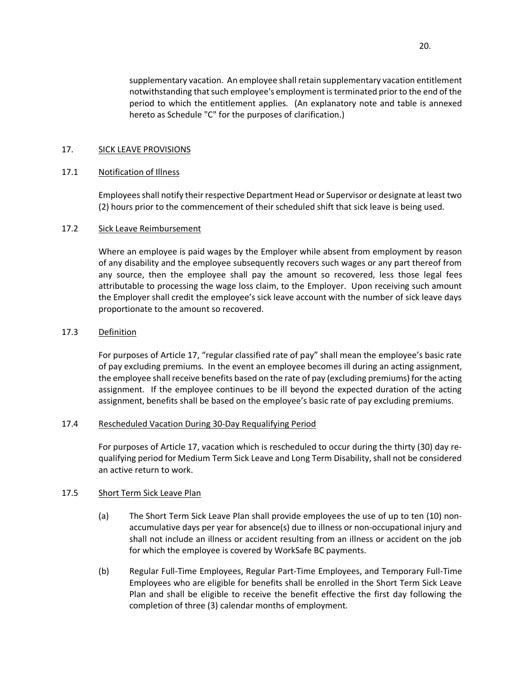supplementary vacation. An employee shall retain supplementary vacation entitlement notwithstanding that such employee's employment is terminated prior to the end of the period to which the entitlement applies. (An explanatory note and table is annexed hereto as Schedule "C" for the purposes of clarification.)

## <span id="page-24-0"></span>17. SICK LEAVE PROVISIONS

### <span id="page-24-1"></span>17.1 Notification of Illness

Employees shall notify their respective Department Head or Supervisor or designate at least two (2) hours prior to the commencement of their scheduled shift that sick leave is being used.

### <span id="page-24-2"></span>17.2 Sick Leave Reimbursement

Where an employee is paid wages by the Employer while absent from employment by reason of any disability and the employee subsequently recovers such wages or any part thereof from any source, then the employee shall pay the amount so recovered, less those legal fees attributable to processing the wage loss claim, to the Employer. Upon receiving such amount the Employer shall credit the employee's sick leave account with the number of sick leave days proportionate to the amount so recovered.

### <span id="page-24-3"></span>17.3 Definition

For purposes of Article 17, "regular classified rate of pay" shall mean the employee's basic rate of pay excluding premiums. In the event an employee becomes ill during an acting assignment, the employee shall receive benefits based on the rate of pay (excluding premiums) for the acting assignment. If the employee continues to be ill beyond the expected duration of the acting assignment, benefits shall be based on the employee's basic rate of pay excluding premiums.

### <span id="page-24-4"></span>17.4 Rescheduled Vacation During 30-Day Requalifying Period

For purposes of Article 17, vacation which is rescheduled to occur during the thirty (30) day requalifying period for Medium Term Sick Leave and Long Term Disability, shall not be considered an active return to work.

### <span id="page-24-5"></span>17.5 Short Term Sick Leave Plan

- (a) The Short Term Sick Leave Plan shall provide employees the use of up to ten (10) nonaccumulative days per year for absence(s) due to illness or non-occupational injury and shall not include an illness or accident resulting from an illness or accident on the job for which the employee is covered by WorkSafe BC payments.
- (b) Regular Full-Time Employees, Regular Part-Time Employees, and Temporary Full-Time Employees who are eligible for benefits shall be enrolled in the Short Term Sick Leave Plan and shall be eligible to receive the benefit effective the first day following the completion of three (3) calendar months of employment.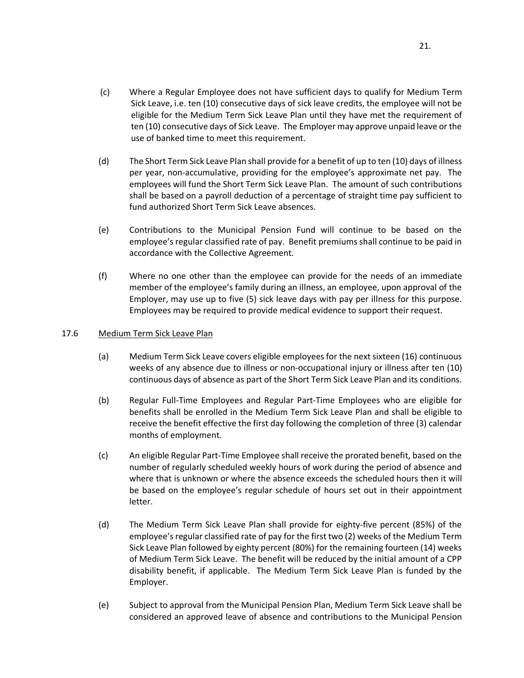- (c) Where a Regular Employee does not have sufficient days to qualify for Medium Term Sick Leave, i.e. ten (10) consecutive days of sick leave credits, the employee will not be eligible for the Medium Term Sick Leave Plan until they have met the requirement of ten (10) consecutive days of Sick Leave. The Employer may approve unpaid leave or the use of banked time to meet this requirement.
- (d) The Short Term Sick Leave Plan shall provide for a benefit of up to ten (10) days of illness per year, non-accumulative, providing for the employee's approximate net pay. The employees will fund the Short Term Sick Leave Plan. The amount of such contributions shall be based on a payroll deduction of a percentage of straight time pay sufficient to fund authorized Short Term Sick Leave absences.
- (e) Contributions to the Municipal Pension Fund will continue to be based on the employee's regular classified rate of pay. Benefit premiums shall continue to be paid in accordance with the Collective Agreement.
- (f) Where no one other than the employee can provide for the needs of an immediate member of the employee's family during an illness, an employee, upon approval of the Employer, may use up to five (5) sick leave days with pay per illness for this purpose. Employees may be required to provide medical evidence to support their request.

# <span id="page-25-0"></span>17.6 Medium Term Sick Leave Plan

- (a) Medium Term Sick Leave covers eligible employees for the next sixteen (16) continuous weeks of any absence due to illness or non-occupational injury or illness after ten (10) continuous days of absence as part of the Short Term Sick Leave Plan and its conditions.
- (b) Regular Full-Time Employees and Regular Part-Time Employees who are eligible for benefits shall be enrolled in the Medium Term Sick Leave Plan and shall be eligible to receive the benefit effective the first day following the completion of three (3) calendar months of employment.
- (c) An eligible Regular Part-Time Employee shall receive the prorated benefit, based on the number of regularly scheduled weekly hours of work during the period of absence and where that is unknown or where the absence exceeds the scheduled hours then it will be based on the employee's regular schedule of hours set out in their appointment letter.
- (d) The Medium Term Sick Leave Plan shall provide for eighty-five percent (85%) of the employee's regular classified rate of pay for the first two (2) weeks of the Medium Term Sick Leave Plan followed by eighty percent (80%) for the remaining fourteen (14) weeks of Medium Term Sick Leave. The benefit will be reduced by the initial amount of a CPP disability benefit, if applicable. The Medium Term Sick Leave Plan is funded by the Employer.
- (e) Subject to approval from the Municipal Pension Plan, Medium Term Sick Leave shall be considered an approved leave of absence and contributions to the Municipal Pension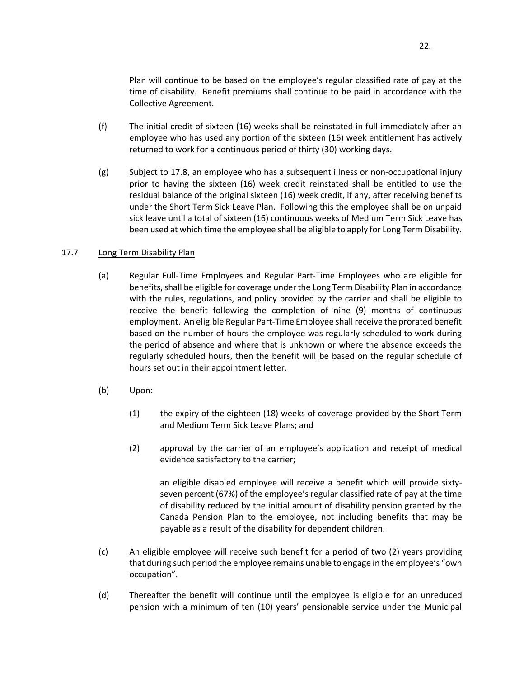Plan will continue to be based on the employee's regular classified rate of pay at the time of disability. Benefit premiums shall continue to be paid in accordance with the Collective Agreement.

- (f) The initial credit of sixteen (16) weeks shall be reinstated in full immediately after an employee who has used any portion of the sixteen (16) week entitlement has actively returned to work for a continuous period of thirty (30) working days.
- (g) Subject to 17.8, an employee who has a subsequent illness or non-occupational injury prior to having the sixteen (16) week credit reinstated shall be entitled to use the residual balance of the original sixteen (16) week credit, if any, after receiving benefits under the Short Term Sick Leave Plan. Following this the employee shall be on unpaid sick leave until a total of sixteen (16) continuous weeks of Medium Term Sick Leave has been used at which time the employee shall be eligible to apply for Long Term Disability.

## <span id="page-26-0"></span>17.7 Long Term Disability Plan

- (a) Regular Full-Time Employees and Regular Part-Time Employees who are eligible for benefits, shall be eligible for coverage under the Long Term Disability Plan in accordance with the rules, regulations, and policy provided by the carrier and shall be eligible to receive the benefit following the completion of nine (9) months of continuous employment. An eligible Regular Part-Time Employee shall receive the prorated benefit based on the number of hours the employee was regularly scheduled to work during the period of absence and where that is unknown or where the absence exceeds the regularly scheduled hours, then the benefit will be based on the regular schedule of hours set out in their appointment letter.
- (b) Upon:
	- (1) the expiry of the eighteen (18) weeks of coverage provided by the Short Term and Medium Term Sick Leave Plans; and
	- (2) approval by the carrier of an employee's application and receipt of medical evidence satisfactory to the carrier;

an eligible disabled employee will receive a benefit which will provide sixtyseven percent (67%) of the employee's regular classified rate of pay at the time of disability reduced by the initial amount of disability pension granted by the Canada Pension Plan to the employee, not including benefits that may be payable as a result of the disability for dependent children.

- (c) An eligible employee will receive such benefit for a period of two (2) years providing that during such period the employee remains unable to engage in the employee's "own occupation".
- (d) Thereafter the benefit will continue until the employee is eligible for an unreduced pension with a minimum of ten (10) years' pensionable service under the Municipal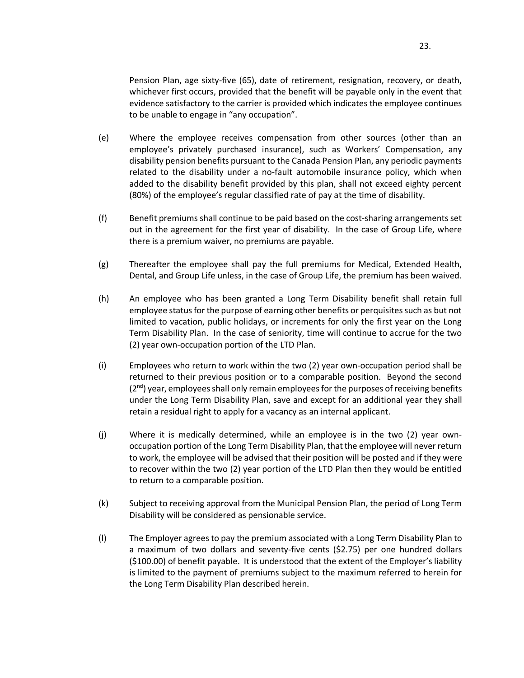Pension Plan, age sixty-five (65), date of retirement, resignation, recovery, or death, whichever first occurs, provided that the benefit will be payable only in the event that evidence satisfactory to the carrier is provided which indicates the employee continues to be unable to engage in "any occupation".

- (e) Where the employee receives compensation from other sources (other than an employee's privately purchased insurance), such as Workers' Compensation, any disability pension benefits pursuant to the Canada Pension Plan, any periodic payments related to the disability under a no-fault automobile insurance policy, which when added to the disability benefit provided by this plan, shall not exceed eighty percent (80%) of the employee's regular classified rate of pay at the time of disability.
- (f) Benefit premiums shall continue to be paid based on the cost-sharing arrangements set out in the agreement for the first year of disability. In the case of Group Life, where there is a premium waiver, no premiums are payable.
- (g) Thereafter the employee shall pay the full premiums for Medical, Extended Health, Dental, and Group Life unless, in the case of Group Life, the premium has been waived.
- (h) An employee who has been granted a Long Term Disability benefit shall retain full employee status for the purpose of earning other benefits or perquisites such as but not limited to vacation, public holidays, or increments for only the first year on the Long Term Disability Plan. In the case of seniority, time will continue to accrue for the two (2) year own-occupation portion of the LTD Plan.
- (i) Employees who return to work within the two (2) year own-occupation period shall be returned to their previous position or to a comparable position. Beyond the second  $(2<sup>nd</sup>)$  year, employees shall only remain employees for the purposes of receiving benefits under the Long Term Disability Plan, save and except for an additional year they shall retain a residual right to apply for a vacancy as an internal applicant.
- (j) Where it is medically determined, while an employee is in the two (2) year ownoccupation portion of the Long Term Disability Plan, that the employee will never return to work, the employee will be advised that their position will be posted and if they were to recover within the two (2) year portion of the LTD Plan then they would be entitled to return to a comparable position.
- (k) Subject to receiving approval from the Municipal Pension Plan, the period of Long Term Disability will be considered as pensionable service.
- (l) The Employer agrees to pay the premium associated with a Long Term Disability Plan to a maximum of two dollars and seventy-five cents (\$2.75) per one hundred dollars (\$100.00) of benefit payable. It is understood that the extent of the Employer's liability is limited to the payment of premiums subject to the maximum referred to herein for the Long Term Disability Plan described herein.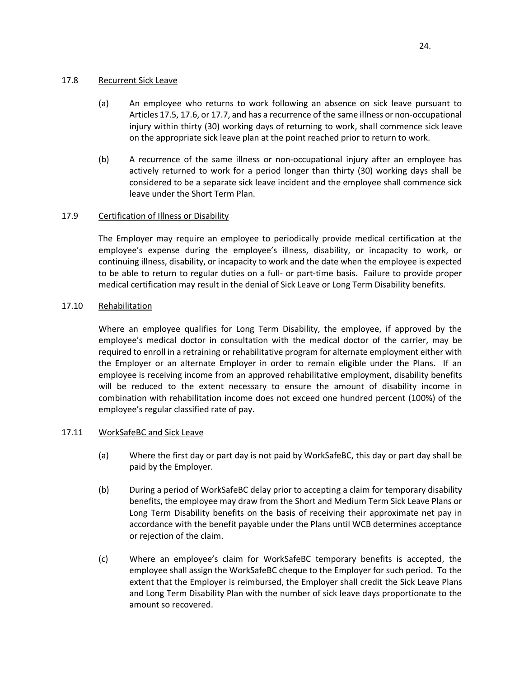# <span id="page-28-0"></span>17.8 Recurrent Sick Leave

- (a) An employee who returns to work following an absence on sick leave pursuant to Articles 17.5, 17.6, or 17.7, and has a recurrence of the same illness or non-occupational injury within thirty (30) working days of returning to work, shall commence sick leave on the appropriate sick leave plan at the point reached prior to return to work.
- (b) A recurrence of the same illness or non-occupational injury after an employee has actively returned to work for a period longer than thirty (30) working days shall be considered to be a separate sick leave incident and the employee shall commence sick leave under the Short Term Plan.

# <span id="page-28-1"></span>17.9 Certification of Illness or Disability

The Employer may require an employee to periodically provide medical certification at the employee's expense during the employee's illness, disability, or incapacity to work, or continuing illness, disability, or incapacity to work and the date when the employee is expected to be able to return to regular duties on a full- or part-time basis. Failure to provide proper medical certification may result in the denial of Sick Leave or Long Term Disability benefits.

# <span id="page-28-2"></span>17.10 Rehabilitation

Where an employee qualifies for Long Term Disability, the employee, if approved by the employee's medical doctor in consultation with the medical doctor of the carrier, may be required to enroll in a retraining or rehabilitative program for alternate employment either with the Employer or an alternate Employer in order to remain eligible under the Plans. If an employee is receiving income from an approved rehabilitative employment, disability benefits will be reduced to the extent necessary to ensure the amount of disability income in combination with rehabilitation income does not exceed one hundred percent (100%) of the employee's regular classified rate of pay.

# <span id="page-28-3"></span>17.11 WorkSafeBC and Sick Leave

- (a) Where the first day or part day is not paid by WorkSafeBC, this day or part day shall be paid by the Employer.
- (b) During a period of WorkSafeBC delay prior to accepting a claim for temporary disability benefits, the employee may draw from the Short and Medium Term Sick Leave Plans or Long Term Disability benefits on the basis of receiving their approximate net pay in accordance with the benefit payable under the Plans until WCB determines acceptance or rejection of the claim.
- (c) Where an employee's claim for WorkSafeBC temporary benefits is accepted, the employee shall assign the WorkSafeBC cheque to the Employer for such period. To the extent that the Employer is reimbursed, the Employer shall credit the Sick Leave Plans and Long Term Disability Plan with the number of sick leave days proportionate to the amount so recovered.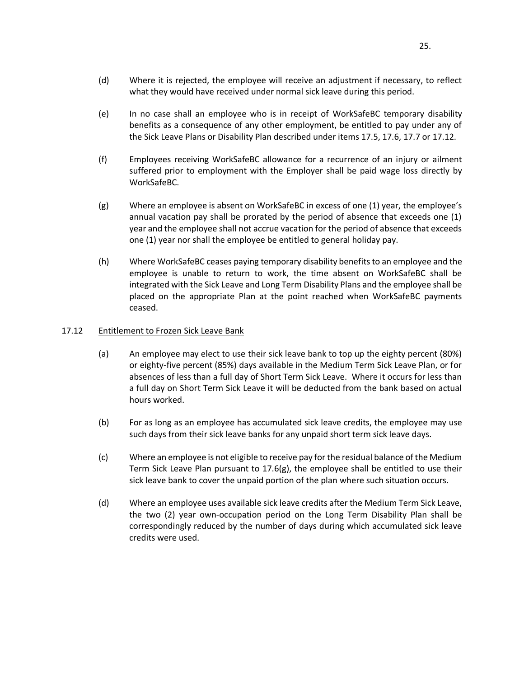- (d) Where it is rejected, the employee will receive an adjustment if necessary, to reflect what they would have received under normal sick leave during this period.
- (e) In no case shall an employee who is in receipt of WorkSafeBC temporary disability benefits as a consequence of any other employment, be entitled to pay under any of the Sick Leave Plans or Disability Plan described under items 17.5, 17.6, 17.7 or 17.12.
- (f) Employees receiving WorkSafeBC allowance for a recurrence of an injury or ailment suffered prior to employment with the Employer shall be paid wage loss directly by WorkSafeBC.
- (g) Where an employee is absent on WorkSafeBC in excess of one (1) year, the employee's annual vacation pay shall be prorated by the period of absence that exceeds one (1) year and the employee shall not accrue vacation for the period of absence that exceeds one (1) year nor shall the employee be entitled to general holiday pay.
- (h) Where WorkSafeBC ceases paying temporary disability benefits to an employee and the employee is unable to return to work, the time absent on WorkSafeBC shall be integrated with the Sick Leave and Long Term Disability Plans and the employee shall be placed on the appropriate Plan at the point reached when WorkSafeBC payments ceased.

# <span id="page-29-0"></span>17.12 Entitlement to Frozen Sick Leave Bank

- (a) An employee may elect to use their sick leave bank to top up the eighty percent (80%) or eighty-five percent (85%) days available in the Medium Term Sick Leave Plan, or for absences of less than a full day of Short Term Sick Leave. Where it occurs for less than a full day on Short Term Sick Leave it will be deducted from the bank based on actual hours worked.
- (b) For as long as an employee has accumulated sick leave credits, the employee may use such days from their sick leave banks for any unpaid short term sick leave days.
- (c) Where an employee is not eligible to receive pay for the residual balance of the Medium Term Sick Leave Plan pursuant to 17.6(g), the employee shall be entitled to use their sick leave bank to cover the unpaid portion of the plan where such situation occurs.
- (d) Where an employee uses available sick leave credits after the Medium Term Sick Leave, the two (2) year own-occupation period on the Long Term Disability Plan shall be correspondingly reduced by the number of days during which accumulated sick leave credits were used.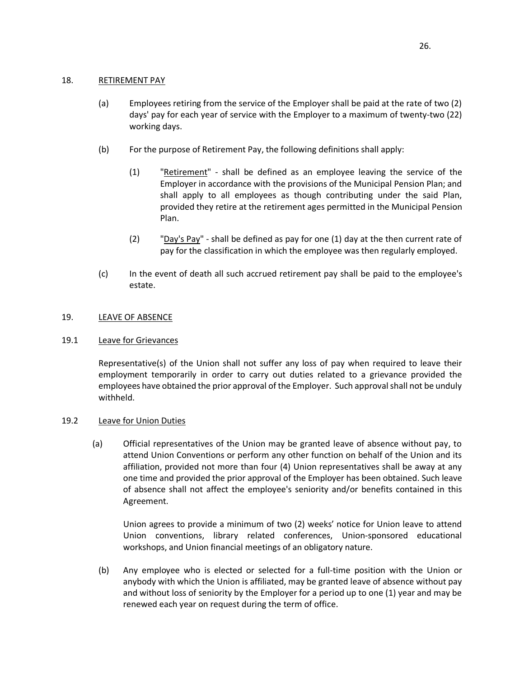### <span id="page-30-0"></span>18. RETIREMENT PAY

- (a) Employees retiring from the service of the Employer shall be paid at the rate of two (2) days' pay for each year of service with the Employer to a maximum of twenty-two (22) working days.
- (b) For the purpose of Retirement Pay, the following definitions shall apply:
	- (1) "Retirement" shall be defined as an employee leaving the service of the Employer in accordance with the provisions of the Municipal Pension Plan; and shall apply to all employees as though contributing under the said Plan, provided they retire at the retirement ages permitted in the Municipal Pension Plan.
	- (2) "Day's Pay" shall be defined as pay for one (1) day at the then current rate of pay for the classification in which the employee was then regularly employed.
- (c) In the event of death all such accrued retirement pay shall be paid to the employee's estate.

# <span id="page-30-1"></span>19. LEAVE OF ABSENCE

# <span id="page-30-2"></span>19.1 Leave for Grievances

Representative(s) of the Union shall not suffer any loss of pay when required to leave their employment temporarily in order to carry out duties related to a grievance provided the employees have obtained the prior approval of the Employer. Such approval shall not be unduly withheld.

# <span id="page-30-3"></span>19.2 Leave for Union Duties

(a) Official representatives of the Union may be granted leave of absence without pay, to attend Union Conventions or perform any other function on behalf of the Union and its affiliation, provided not more than four (4) Union representatives shall be away at any one time and provided the prior approval of the Employer has been obtained. Such leave of absence shall not affect the employee's seniority and/or benefits contained in this Agreement.

Union agrees to provide a minimum of two (2) weeks' notice for Union leave to attend Union conventions, library related conferences, Union-sponsored educational workshops, and Union financial meetings of an obligatory nature.

(b) Any employee who is elected or selected for a full-time position with the Union or anybody with which the Union is affiliated, may be granted leave of absence without pay and without loss of seniority by the Employer for a period up to one (1) year and may be renewed each year on request during the term of office.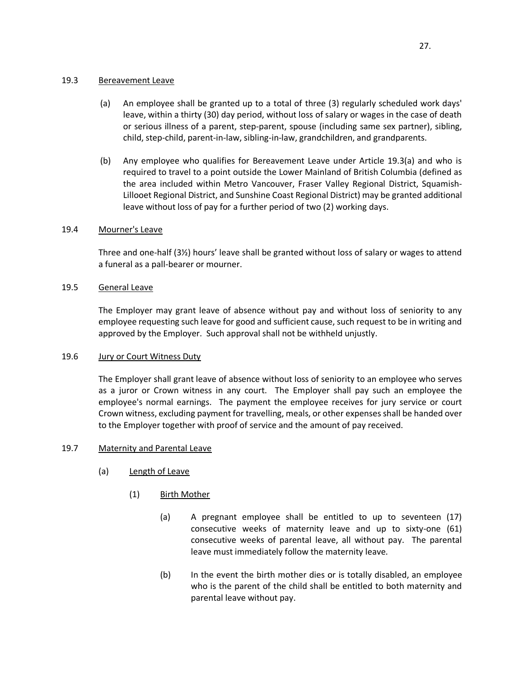# <span id="page-31-0"></span>19.3 Bereavement Leave

- (a) An employee shall be granted up to a total of three (3) regularly scheduled work days' leave, within a thirty (30) day period, without loss of salary or wages in the case of death or serious illness of a parent, step-parent, spouse (including same sex partner), sibling, child, step-child, parent-in-law, sibling-in-law, grandchildren, and grandparents.
- (b) Any employee who qualifies for Bereavement Leave under Article 19.3(a) and who is required to travel to a point outside the Lower Mainland of British Columbia (defined as the area included within Metro Vancouver, Fraser Valley Regional District, Squamish-Lillooet Regional District, and Sunshine Coast Regional District) may be granted additional leave without loss of pay for a further period of two (2) working days.

# <span id="page-31-1"></span>19.4 Mourner's Leave

Three and one-half (3½) hours' leave shall be granted without loss of salary or wages to attend a funeral as a pall-bearer or mourner.

# <span id="page-31-2"></span>19.5 General Leave

The Employer may grant leave of absence without pay and without loss of seniority to any employee requesting such leave for good and sufficient cause, such request to be in writing and approved by the Employer. Such approval shall not be withheld unjustly.

# <span id="page-31-3"></span>19.6 Jury or Court Witness Duty

The Employer shall grant leave of absence without loss of seniority to an employee who serves as a juror or Crown witness in any court. The Employer shall pay such an employee the employee's normal earnings. The payment the employee receives for jury service or court Crown witness, excluding payment for travelling, meals, or other expenses shall be handed over to the Employer together with proof of service and the amount of pay received.

# <span id="page-31-4"></span>19.7 Maternity and Parental Leave

- (a) Length of Leave
	- (1) Birth Mother
		- (a) A pregnant employee shall be entitled to up to seventeen (17) consecutive weeks of maternity leave and up to sixty-one (61) consecutive weeks of parental leave, all without pay. The parental leave must immediately follow the maternity leave.
		- (b) In the event the birth mother dies or is totally disabled, an employee who is the parent of the child shall be entitled to both maternity and parental leave without pay.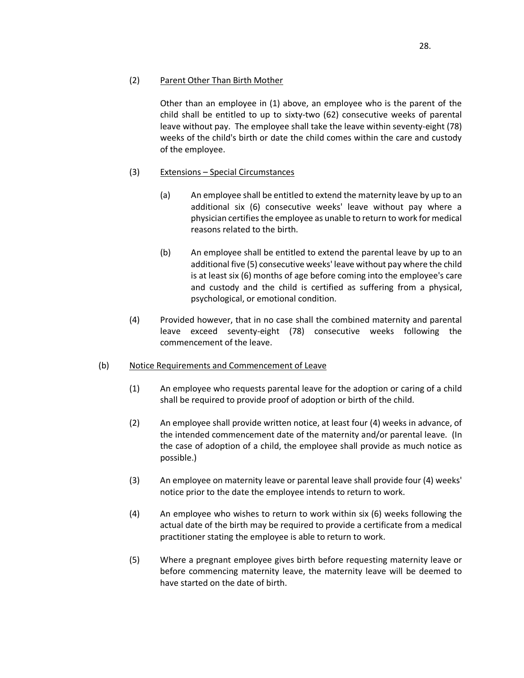Other than an employee in (1) above, an employee who is the parent of the child shall be entitled to up to sixty-two (62) consecutive weeks of parental leave without pay. The employee shall take the leave within seventy-eight (78) weeks of the child's birth or date the child comes within the care and custody of the employee.

# (3) Extensions – Special Circumstances

- (a) An employee shall be entitled to extend the maternity leave by up to an additional six (6) consecutive weeks' leave without pay where a physician certifies the employee as unable to return to work for medical reasons related to the birth.
- (b) An employee shall be entitled to extend the parental leave by up to an additional five (5) consecutive weeks' leave without pay where the child is at least six (6) months of age before coming into the employee's care and custody and the child is certified as suffering from a physical, psychological, or emotional condition.
- (4) Provided however, that in no case shall the combined maternity and parental leave exceed seventy-eight (78) consecutive weeks following the commencement of the leave.

# (b) Notice Requirements and Commencement of Leave

- (1) An employee who requests parental leave for the adoption or caring of a child shall be required to provide proof of adoption or birth of the child.
- (2) An employee shall provide written notice, at least four (4) weeks in advance, of the intended commencement date of the maternity and/or parental leave. (In the case of adoption of a child, the employee shall provide as much notice as possible.)
- (3) An employee on maternity leave or parental leave shall provide four (4) weeks' notice prior to the date the employee intends to return to work.
- (4) An employee who wishes to return to work within six (6) weeks following the actual date of the birth may be required to provide a certificate from a medical practitioner stating the employee is able to return to work.
- (5) Where a pregnant employee gives birth before requesting maternity leave or before commencing maternity leave, the maternity leave will be deemed to have started on the date of birth.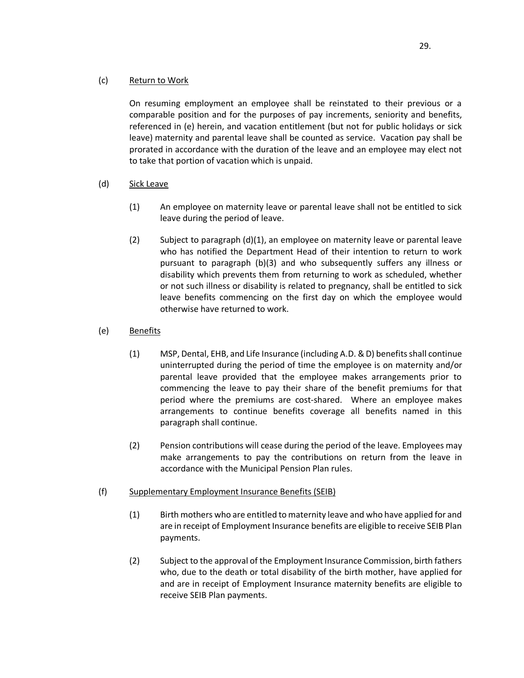# (c) Return to Work

On resuming employment an employee shall be reinstated to their previous or a comparable position and for the purposes of pay increments, seniority and benefits, referenced in (e) herein, and vacation entitlement (but not for public holidays or sick leave) maternity and parental leave shall be counted as service. Vacation pay shall be prorated in accordance with the duration of the leave and an employee may elect not to take that portion of vacation which is unpaid.

- (d) Sick Leave
	- (1) An employee on maternity leave or parental leave shall not be entitled to sick leave during the period of leave.
	- (2) Subject to paragraph  $(d)(1)$ , an employee on maternity leave or parental leave who has notified the Department Head of their intention to return to work pursuant to paragraph (b)(3) and who subsequently suffers any illness or disability which prevents them from returning to work as scheduled, whether or not such illness or disability is related to pregnancy, shall be entitled to sick leave benefits commencing on the first day on which the employee would otherwise have returned to work.
- (e) Benefits
	- (1) MSP, Dental, EHB, and Life Insurance (including A.D. & D) benefits shall continue uninterrupted during the period of time the employee is on maternity and/or parental leave provided that the employee makes arrangements prior to commencing the leave to pay their share of the benefit premiums for that period where the premiums are cost-shared. Where an employee makes arrangements to continue benefits coverage all benefits named in this paragraph shall continue.
	- (2) Pension contributions will cease during the period of the leave. Employees may make arrangements to pay the contributions on return from the leave in accordance with the Municipal Pension Plan rules.
- (f) Supplementary Employment Insurance Benefits (SEIB)
	- (1) Birth mothers who are entitled to maternity leave and who have applied for and are in receipt of Employment Insurance benefits are eligible to receive SEIB Plan payments.
	- (2) Subject to the approval of the Employment Insurance Commission, birth fathers who, due to the death or total disability of the birth mother, have applied for and are in receipt of Employment Insurance maternity benefits are eligible to receive SEIB Plan payments.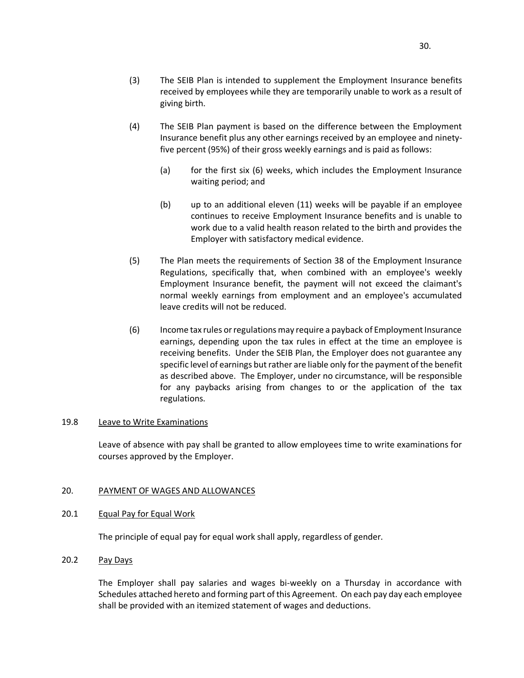- (3) The SEIB Plan is intended to supplement the Employment Insurance benefits received by employees while they are temporarily unable to work as a result of giving birth.
- (4) The SEIB Plan payment is based on the difference between the Employment Insurance benefit plus any other earnings received by an employee and ninetyfive percent (95%) of their gross weekly earnings and is paid as follows:
	- (a) for the first six (6) weeks, which includes the Employment Insurance waiting period; and
	- (b) up to an additional eleven (11) weeks will be payable if an employee continues to receive Employment Insurance benefits and is unable to work due to a valid health reason related to the birth and provides the Employer with satisfactory medical evidence.
- (5) The Plan meets the requirements of Section 38 of the Employment Insurance Regulations, specifically that, when combined with an employee's weekly Employment Insurance benefit, the payment will not exceed the claimant's normal weekly earnings from employment and an employee's accumulated leave credits will not be reduced.
- (6) Income tax rules or regulations may require a payback of Employment Insurance earnings, depending upon the tax rules in effect at the time an employee is receiving benefits. Under the SEIB Plan, the Employer does not guarantee any specific level of earnings but rather are liable only for the payment of the benefit as described above. The Employer, under no circumstance, will be responsible for any paybacks arising from changes to or the application of the tax regulations.

### <span id="page-34-0"></span>19.8 Leave to Write Examinations

Leave of absence with pay shall be granted to allow employees time to write examinations for courses approved by the Employer.

# <span id="page-34-1"></span>20. PAYMENT OF WAGES AND ALLOWANCES

# <span id="page-34-2"></span>20.1 Equal Pay for Equal Work

The principle of equal pay for equal work shall apply, regardless of gender.

# <span id="page-34-3"></span>20.2 Pay Days

The Employer shall pay salaries and wages bi-weekly on a Thursday in accordance with Schedules attached hereto and forming part of this Agreement. On each pay day each employee shall be provided with an itemized statement of wages and deductions.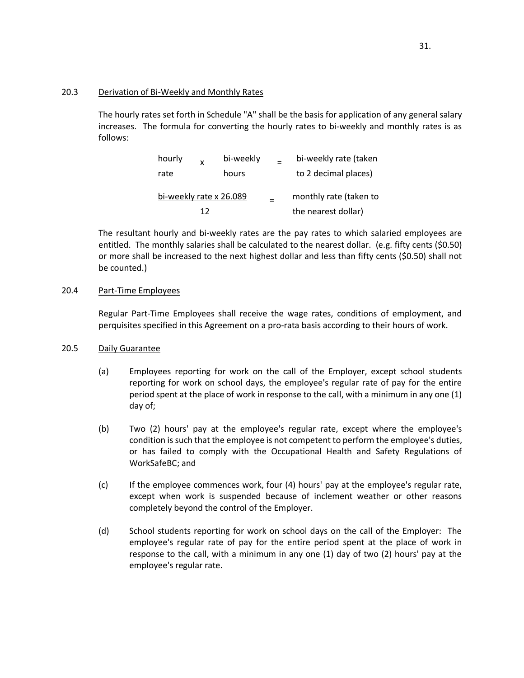# <span id="page-35-0"></span>20.3 Derivation of Bi-Weekly and Monthly Rates

The hourly rates set forth in Schedule "A" shall be the basis for application of any general salary increases. The formula for converting the hourly rates to bi-weekly and monthly rates is as follows:

| hourly                  | $\mathbf{x}$ | bi-weekly              | bi-weekly rate (taken |
|-------------------------|--------------|------------------------|-----------------------|
| rate                    |              | hours                  | to 2 decimal places)  |
| bi-weekly rate x 26.089 |              | monthly rate (taken to |                       |
|                         | 17           |                        | the nearest dollar)   |

The resultant hourly and bi-weekly rates are the pay rates to which salaried employees are entitled. The monthly salaries shall be calculated to the nearest dollar. (e.g. fifty cents (\$0.50) or more shall be increased to the next highest dollar and less than fifty cents (\$0.50) shall not be counted.)

# <span id="page-35-1"></span>20.4 Part-Time Employees

Regular Part-Time Employees shall receive the wage rates, conditions of employment, and perquisites specified in this Agreement on a pro-rata basis according to their hours of work.

# <span id="page-35-2"></span>20.5 Daily Guarantee

- (a) Employees reporting for work on the call of the Employer, except school students reporting for work on school days, the employee's regular rate of pay for the entire period spent at the place of work in response to the call, with a minimum in any one (1) day of;
- (b) Two (2) hours' pay at the employee's regular rate, except where the employee's condition is such that the employee is not competent to perform the employee's duties, or has failed to comply with the Occupational Health and Safety Regulations of WorkSafeBC; and
- (c) If the employee commences work, four (4) hours' pay at the employee's regular rate, except when work is suspended because of inclement weather or other reasons completely beyond the control of the Employer.
- (d) School students reporting for work on school days on the call of the Employer: The employee's regular rate of pay for the entire period spent at the place of work in response to the call, with a minimum in any one (1) day of two (2) hours' pay at the employee's regular rate.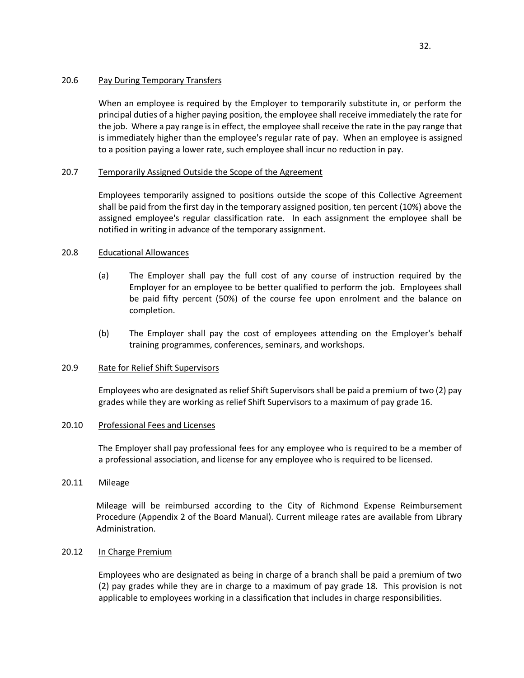# <span id="page-36-0"></span>20.6 Pay During Temporary Transfers

When an employee is required by the Employer to temporarily substitute in, or perform the principal duties of a higher paying position, the employee shall receive immediately the rate for the job. Where a pay range is in effect, the employee shall receive the rate in the pay range that is immediately higher than the employee's regular rate of pay. When an employee is assigned to a position paying a lower rate, such employee shall incur no reduction in pay.

# <span id="page-36-1"></span>20.7 Temporarily Assigned Outside the Scope of the Agreement

Employees temporarily assigned to positions outside the scope of this Collective Agreement shall be paid from the first day in the temporary assigned position, ten percent (10%) above the assigned employee's regular classification rate. In each assignment the employee shall be notified in writing in advance of the temporary assignment.

## <span id="page-36-2"></span>20.8 Educational Allowances

- (a) The Employer shall pay the full cost of any course of instruction required by the Employer for an employee to be better qualified to perform the job. Employees shall be paid fifty percent (50%) of the course fee upon enrolment and the balance on completion.
- (b) The Employer shall pay the cost of employees attending on the Employer's behalf training programmes, conferences, seminars, and workshops.

### <span id="page-36-3"></span>20.9 Rate for Relief Shift Supervisors

Employees who are designated as relief Shift Supervisors shall be paid a premium of two (2) pay grades while they are working as relief Shift Supervisors to a maximum of pay grade 16.

### <span id="page-36-4"></span>20.10 Professional Fees and Licenses

The Employer shall pay professional fees for any employee who is required to be a member of a professional association, and license for any employee who is required to be licensed.

### <span id="page-36-5"></span>20.11 Mileage

Mileage will be reimbursed according to the City of Richmond Expense Reimbursement Procedure (Appendix 2 of the Board Manual). Current mileage rates are available from Library Administration.

### <span id="page-36-6"></span>20.12 In Charge Premium

Employees who are designated as being in charge of a branch shall be paid a premium of two (2) pay grades while they are in charge to a maximum of pay grade 18. This provision is not applicable to employees working in a classification that includes in charge responsibilities.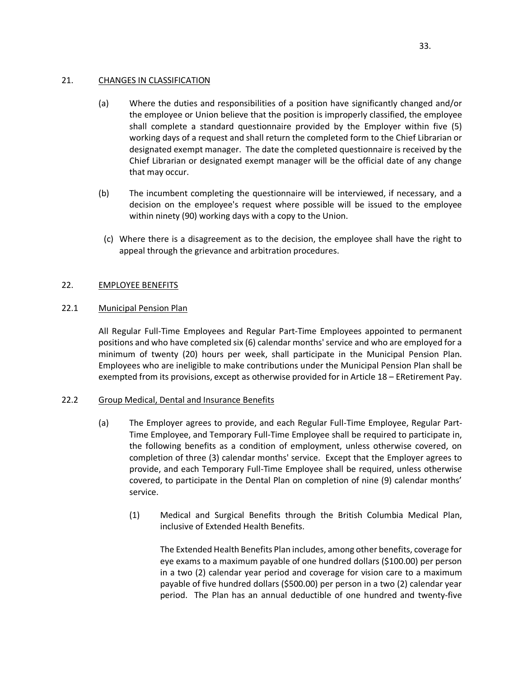# <span id="page-37-0"></span>21. CHANGES IN CLASSIFICATION

- (a) Where the duties and responsibilities of a position have significantly changed and/or the employee or Union believe that the position is improperly classified, the employee shall complete a standard questionnaire provided by the Employer within five (5) working days of a request and shall return the completed form to the Chief Librarian or designated exempt manager. The date the completed questionnaire is received by the Chief Librarian or designated exempt manager will be the official date of any change that may occur.
- (b) The incumbent completing the questionnaire will be interviewed, if necessary, and a decision on the employee's request where possible will be issued to the employee within ninety (90) working days with a copy to the Union.
- (c) Where there is a disagreement as to the decision, the employee shall have the right to appeal through the grievance and arbitration procedures.

# <span id="page-37-1"></span>22. EMPLOYEE BENEFITS

# <span id="page-37-2"></span>22.1 Municipal Pension Plan

All Regular Full-Time Employees and Regular Part-Time Employees appointed to permanent positions and who have completed six (6) calendar months' service and who are employed for a minimum of twenty (20) hours per week, shall participate in the Municipal Pension Plan. Employees who are ineligible to make contributions under the Municipal Pension Plan shall be exempted from its provisions, except as otherwise provided for in Article 18 – ERetirement Pay.

# <span id="page-37-3"></span>22.2 Group Medical, Dental and Insurance Benefits

- (a) The Employer agrees to provide, and each Regular Full-Time Employee, Regular Part-Time Employee, and Temporary Full-Time Employee shall be required to participate in, the following benefits as a condition of employment, unless otherwise covered, on completion of three (3) calendar months' service. Except that the Employer agrees to provide, and each Temporary Full-Time Employee shall be required, unless otherwise covered, to participate in the Dental Plan on completion of nine (9) calendar months' service.
	- (1) Medical and Surgical Benefits through the British Columbia Medical Plan, inclusive of Extended Health Benefits.

The Extended Health Benefits Plan includes, among other benefits, coverage for eye exams to a maximum payable of one hundred dollars (\$100.00) per person in a two (2) calendar year period and coverage for vision care to a maximum payable of five hundred dollars (\$500.00) per person in a two (2) calendar year period. The Plan has an annual deductible of one hundred and twenty-five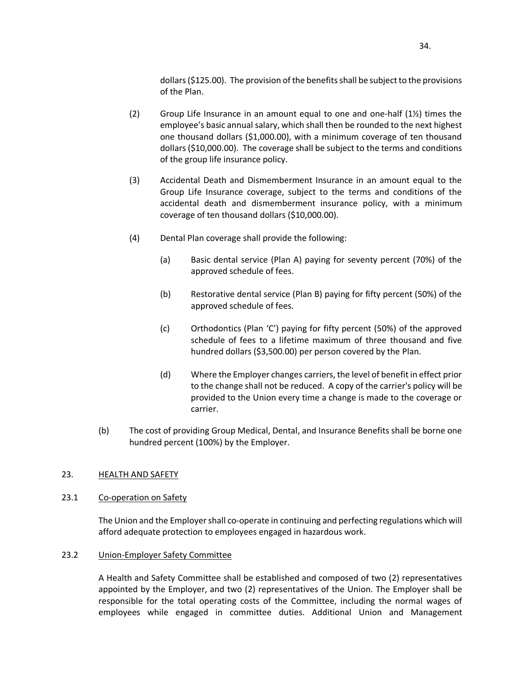dollars (\$125.00). The provision of the benefits shall be subject to the provisions of the Plan.

- (2) Group Life Insurance in an amount equal to one and one-half  $(12)$  times the employee's basic annual salary, which shall then be rounded to the next highest one thousand dollars (\$1,000.00), with a minimum coverage of ten thousand dollars (\$10,000.00). The coverage shall be subject to the terms and conditions of the group life insurance policy.
- (3) Accidental Death and Dismemberment Insurance in an amount equal to the Group Life Insurance coverage, subject to the terms and conditions of the accidental death and dismemberment insurance policy, with a minimum coverage of ten thousand dollars (\$10,000.00).
- (4) Dental Plan coverage shall provide the following:
	- (a) Basic dental service (Plan A) paying for seventy percent (70%) of the approved schedule of fees.
	- (b) Restorative dental service (Plan B) paying for fifty percent (50%) of the approved schedule of fees.
	- (c) Orthodontics (Plan 'C') paying for fifty percent (50%) of the approved schedule of fees to a lifetime maximum of three thousand and five hundred dollars (\$3,500.00) per person covered by the Plan.
	- (d) Where the Employer changes carriers, the level of benefit in effect prior to the change shall not be reduced. A copy of the carrier's policy will be provided to the Union every time a change is made to the coverage or carrier.
- (b) The cost of providing Group Medical, Dental, and Insurance Benefits shall be borne one hundred percent (100%) by the Employer.

# <span id="page-38-0"></span>23. HEALTH AND SAFETY

# <span id="page-38-1"></span>23.1 Co-operation on Safety

The Union and the Employer shall co-operate in continuing and perfecting regulations which will afford adequate protection to employees engaged in hazardous work.

# <span id="page-38-2"></span>23.2 Union-Employer Safety Committee

A Health and Safety Committee shall be established and composed of two (2) representatives appointed by the Employer, and two (2) representatives of the Union. The Employer shall be responsible for the total operating costs of the Committee, including the normal wages of employees while engaged in committee duties. Additional Union and Management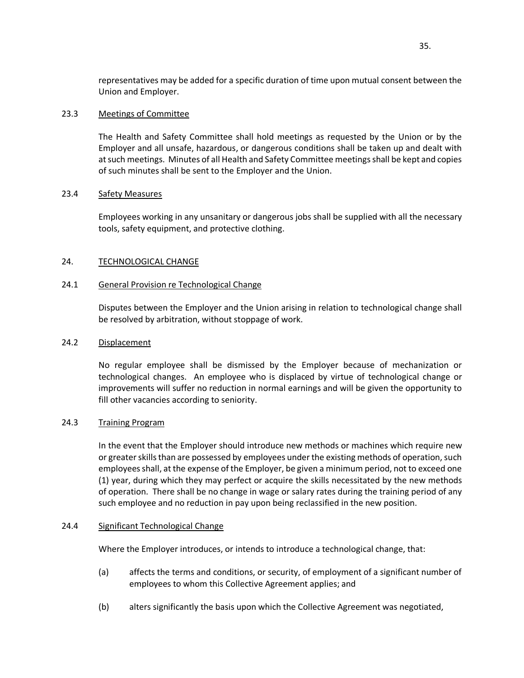representatives may be added for a specific duration of time upon mutual consent between the Union and Employer.

## <span id="page-39-0"></span>23.3 Meetings of Committee

The Health and Safety Committee shall hold meetings as requested by the Union or by the Employer and all unsafe, hazardous, or dangerous conditions shall be taken up and dealt with at such meetings. Minutes of all Health and Safety Committee meetings shall be kept and copies of such minutes shall be sent to the Employer and the Union.

## <span id="page-39-1"></span>23.4 Safety Measures

Employees working in any unsanitary or dangerous jobs shall be supplied with all the necessary tools, safety equipment, and protective clothing.

# <span id="page-39-2"></span>24. TECHNOLOGICAL CHANGE

# <span id="page-39-3"></span>24.1 General Provision re Technological Change

Disputes between the Employer and the Union arising in relation to technological change shall be resolved by arbitration, without stoppage of work.

# <span id="page-39-4"></span>24.2 Displacement

No regular employee shall be dismissed by the Employer because of mechanization or technological changes. An employee who is displaced by virtue of technological change or improvements will suffer no reduction in normal earnings and will be given the opportunity to fill other vacancies according to seniority.

# <span id="page-39-5"></span>24.3 Training Program

In the event that the Employer should introduce new methods or machines which require new or greater skills than are possessed by employees under the existing methods of operation, such employees shall, at the expense of the Employer, be given a minimum period, not to exceed one (1) year, during which they may perfect or acquire the skills necessitated by the new methods of operation. There shall be no change in wage or salary rates during the training period of any such employee and no reduction in pay upon being reclassified in the new position.

# <span id="page-39-6"></span>24.4 Significant Technological Change

Where the Employer introduces, or intends to introduce a technological change, that:

- (a) affects the terms and conditions, or security, of employment of a significant number of employees to whom this Collective Agreement applies; and
- (b) alters significantly the basis upon which the Collective Agreement was negotiated,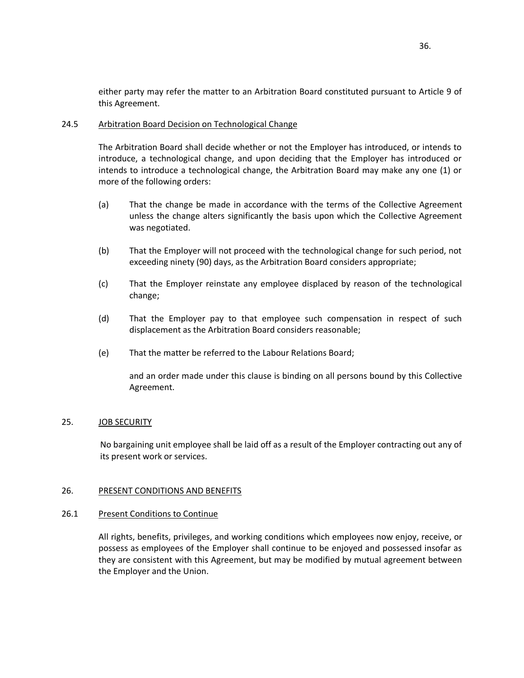either party may refer the matter to an Arbitration Board constituted pursuant to Article 9 of this Agreement.

# <span id="page-40-0"></span>24.5 Arbitration Board Decision on Technological Change

The Arbitration Board shall decide whether or not the Employer has introduced, or intends to introduce, a technological change, and upon deciding that the Employer has introduced or intends to introduce a technological change, the Arbitration Board may make any one (1) or more of the following orders:

- (a) That the change be made in accordance with the terms of the Collective Agreement unless the change alters significantly the basis upon which the Collective Agreement was negotiated.
- (b) That the Employer will not proceed with the technological change for such period, not exceeding ninety (90) days, as the Arbitration Board considers appropriate;
- (c) That the Employer reinstate any employee displaced by reason of the technological change;
- (d) That the Employer pay to that employee such compensation in respect of such displacement as the Arbitration Board considers reasonable;
- (e) That the matter be referred to the Labour Relations Board;

and an order made under this clause is binding on all persons bound by this Collective Agreement.

### <span id="page-40-1"></span>25. JOB SECURITY

No bargaining unit employee shall be laid off as a result of the Employer contracting out any of its present work or services.

# <span id="page-40-2"></span>26. PRESENT CONDITIONS AND BENEFITS

# <span id="page-40-3"></span>26.1 Present Conditions to Continue

All rights, benefits, privileges, and working conditions which employees now enjoy, receive, or possess as employees of the Employer shall continue to be enjoyed and possessed insofar as they are consistent with this Agreement, but may be modified by mutual agreement between the Employer and the Union.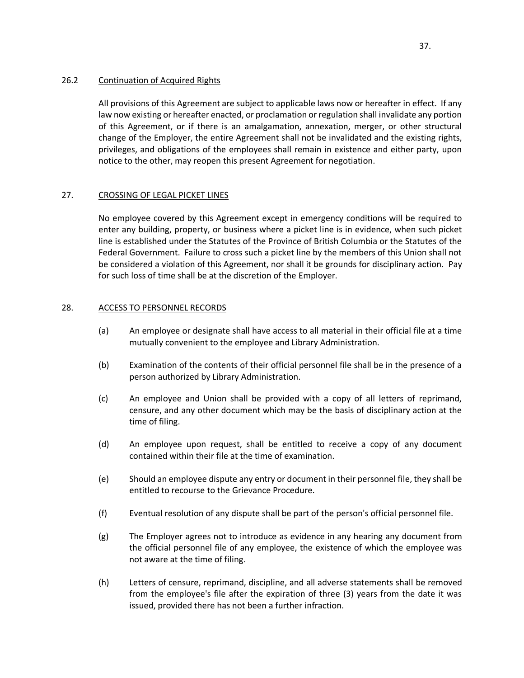# <span id="page-41-0"></span>26.2 Continuation of Acquired Rights

All provisions of this Agreement are subject to applicable laws now or hereafter in effect. If any law now existing or hereafter enacted, or proclamation or regulation shall invalidate any portion of this Agreement, or if there is an amalgamation, annexation, merger, or other structural change of the Employer, the entire Agreement shall not be invalidated and the existing rights, privileges, and obligations of the employees shall remain in existence and either party, upon notice to the other, may reopen this present Agreement for negotiation.

# <span id="page-41-1"></span>27. CROSSING OF LEGAL PICKET LINES

No employee covered by this Agreement except in emergency conditions will be required to enter any building, property, or business where a picket line is in evidence, when such picket line is established under the Statutes of the Province of British Columbia or the Statutes of the Federal Government. Failure to cross such a picket line by the members of this Union shall not be considered a violation of this Agreement, nor shall it be grounds for disciplinary action. Pay for such loss of time shall be at the discretion of the Employer.

# <span id="page-41-2"></span>28. ACCESS TO PERSONNEL RECORDS

- (a) An employee or designate shall have access to all material in their official file at a time mutually convenient to the employee and Library Administration.
- (b) Examination of the contents of their official personnel file shall be in the presence of a person authorized by Library Administration.
- (c) An employee and Union shall be provided with a copy of all letters of reprimand, censure, and any other document which may be the basis of disciplinary action at the time of filing.
- (d) An employee upon request, shall be entitled to receive a copy of any document contained within their file at the time of examination.
- (e) Should an employee dispute any entry or document in their personnel file, they shall be entitled to recourse to the Grievance Procedure.
- (f) Eventual resolution of any dispute shall be part of the person's official personnel file.
- (g) The Employer agrees not to introduce as evidence in any hearing any document from the official personnel file of any employee, the existence of which the employee was not aware at the time of filing.
- (h) Letters of censure, reprimand, discipline, and all adverse statements shall be removed from the employee's file after the expiration of three (3) years from the date it was issued, provided there has not been a further infraction.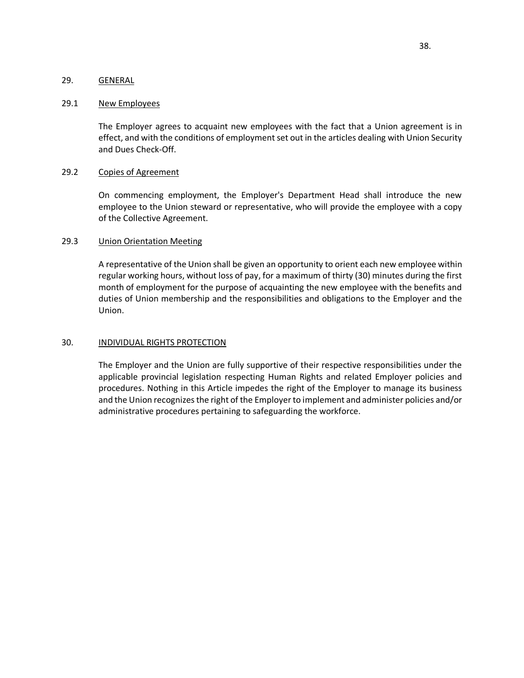# <span id="page-42-0"></span>29. GENERAL

### <span id="page-42-1"></span>29.1 New Employees

The Employer agrees to acquaint new employees with the fact that a Union agreement is in effect, and with the conditions of employment set out in the articles dealing with Union Security and Dues Check-Off.

### <span id="page-42-2"></span>29.2 Copies of Agreement

On commencing employment, the Employer's Department Head shall introduce the new employee to the Union steward or representative, who will provide the employee with a copy of the Collective Agreement.

# <span id="page-42-3"></span>29.3 Union Orientation Meeting

A representative of the Union shall be given an opportunity to orient each new employee within regular working hours, without loss of pay, for a maximum of thirty (30) minutes during the first month of employment for the purpose of acquainting the new employee with the benefits and duties of Union membership and the responsibilities and obligations to the Employer and the Union.

### <span id="page-42-4"></span>30. INDIVIDUAL RIGHTS PROTECTION

The Employer and the Union are fully supportive of their respective responsibilities under the applicable provincial legislation respecting Human Rights and related Employer policies and procedures. Nothing in this Article impedes the right of the Employer to manage its business and the Union recognizes the right of the Employer to implement and administer policies and/or administrative procedures pertaining to safeguarding the workforce.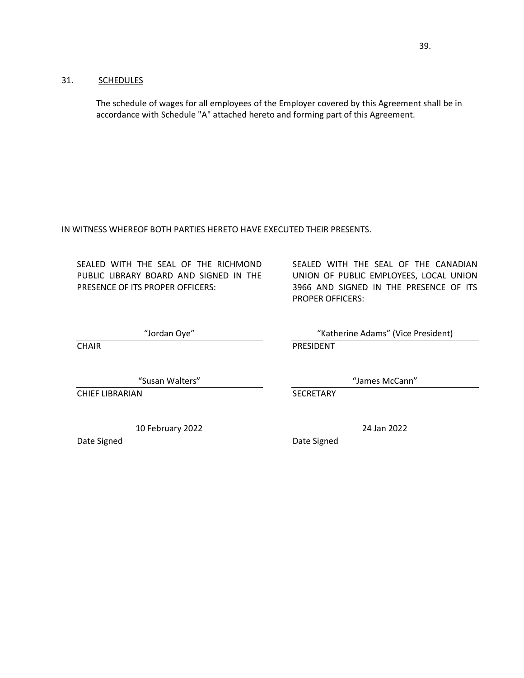# <span id="page-43-0"></span>31. SCHEDULES

The schedule of wages for all employees of the Employer covered by this Agreement shall be in accordance with Schedule "A" attached hereto and forming part of this Agreement.

IN WITNESS WHEREOF BOTH PARTIES HERETO HAVE EXECUTED THEIR PRESENTS.

SEALED WITH THE SEAL OF THE RICHMOND PUBLIC LIBRARY BOARD AND SIGNED IN THE PRESENCE OF ITS PROPER OFFICERS:

"Jordan Oye"

**CHAIR** 

"Susan Walters"

CHIEF LIBRARIAN

10 February 2022

Date Signed

SEALED WITH THE SEAL OF THE CANADIAN UNION OF PUBLIC EMPLOYEES, LOCAL UNION 3966 AND SIGNED IN THE PRESENCE OF ITS PROPER OFFICERS:

"Katherine Adams" (Vice President) PRESIDENT

"James McCann"

**SECRETARY** 

24 Jan 2022

Date Signed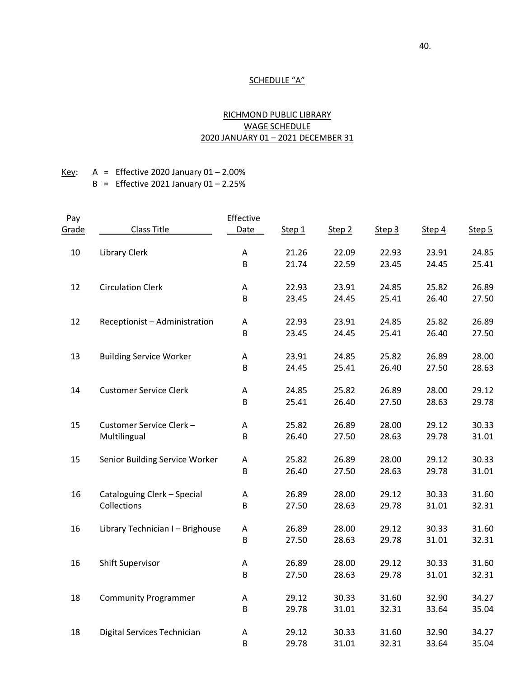# <span id="page-44-0"></span>SCHEDULE "A"

# RICHMOND PUBLIC LIBRARY WAGE SCHEDULE 2020 JANUARY 01 – 2021 DECEMBER 31

# Key: A = Effective 2020 January  $01 - 2.00\%$  $B =$  Effective 2021 January 01 – 2.25%

| Pay   |                                  | Effective   |        |        |        |        |        |
|-------|----------------------------------|-------------|--------|--------|--------|--------|--------|
| Grade | <b>Class Title</b>               | <b>Date</b> | Step 1 | Step 2 | Step 3 | Step 4 | Step 5 |
| 10    | <b>Library Clerk</b>             | A           | 21.26  | 22.09  | 22.93  | 23.91  | 24.85  |
|       |                                  | B           | 21.74  | 22.59  | 23.45  | 24.45  | 25.41  |
| 12    | <b>Circulation Clerk</b>         | A           | 22.93  | 23.91  | 24.85  | 25.82  | 26.89  |
|       |                                  | B           | 23.45  | 24.45  | 25.41  | 26.40  | 27.50  |
| 12    | Receptionist - Administration    | A           | 22.93  | 23.91  | 24.85  | 25.82  | 26.89  |
|       |                                  | B           | 23.45  | 24.45  | 25.41  | 26.40  | 27.50  |
| 13    | <b>Building Service Worker</b>   | A           | 23.91  | 24.85  | 25.82  | 26.89  | 28.00  |
|       |                                  | B           | 24.45  | 25.41  | 26.40  | 27.50  | 28.63  |
| 14    | <b>Customer Service Clerk</b>    | Α           | 24.85  | 25.82  | 26.89  | 28.00  | 29.12  |
|       |                                  | B           | 25.41  | 26.40  | 27.50  | 28.63  | 29.78  |
| 15    | Customer Service Clerk-          | A           | 25.82  | 26.89  | 28.00  | 29.12  | 30.33  |
|       | Multilingual                     | B           | 26.40  | 27.50  | 28.63  | 29.78  | 31.01  |
| 15    | Senior Building Service Worker   | A           | 25.82  | 26.89  | 28.00  | 29.12  | 30.33  |
|       |                                  | B           | 26.40  | 27.50  | 28.63  | 29.78  | 31.01  |
| 16    | Cataloguing Clerk - Special      | $\mathsf A$ | 26.89  | 28.00  | 29.12  | 30.33  | 31.60  |
|       | Collections                      | B           | 27.50  | 28.63  | 29.78  | 31.01  | 32.31  |
| 16    | Library Technician I - Brighouse | $\mathsf A$ | 26.89  | 28.00  | 29.12  | 30.33  | 31.60  |
|       |                                  | B           | 27.50  | 28.63  | 29.78  | 31.01  | 32.31  |
| 16    | <b>Shift Supervisor</b>          | A           | 26.89  | 28.00  | 29.12  | 30.33  | 31.60  |
|       |                                  | B           | 27.50  | 28.63  | 29.78  | 31.01  | 32.31  |
| 18    | <b>Community Programmer</b>      | A           | 29.12  | 30.33  | 31.60  | 32.90  | 34.27  |
|       |                                  | B           | 29.78  | 31.01  | 32.31  | 33.64  | 35.04  |
| 18    | Digital Services Technician      | Α           | 29.12  | 30.33  | 31.60  | 32.90  | 34.27  |
|       |                                  | B           | 29.78  | 31.01  | 32.31  | 33.64  | 35.04  |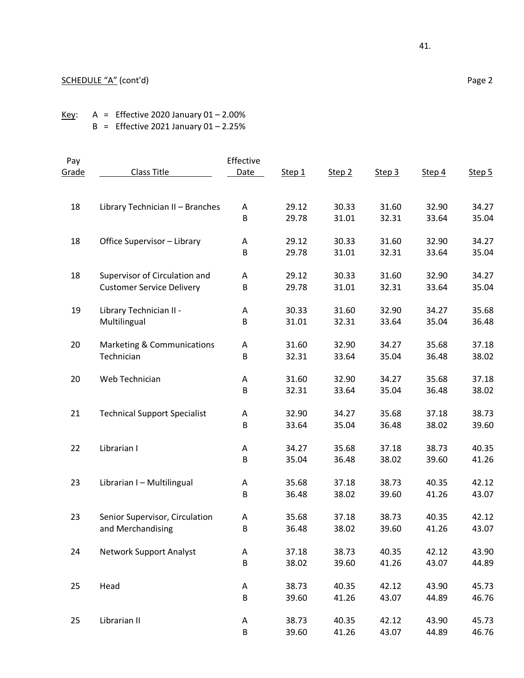Key: A = Effective 2020 January  $01 - 2.00\%$ B = Effective 2021 January  $01 - 2.25%$ 

| Pay          |                                     | Effective   |        |                   |        |        |        |
|--------------|-------------------------------------|-------------|--------|-------------------|--------|--------|--------|
| <u>Grade</u> | Class Title                         | <b>Date</b> | Step 1 | Step <sub>2</sub> | Step 3 | Step 4 | Step 5 |
| 18           | Library Technician II - Branches    | Α           | 29.12  | 30.33             | 31.60  | 32.90  | 34.27  |
|              |                                     | B           | 29.78  | 31.01             | 32.31  | 33.64  | 35.04  |
|              |                                     |             |        |                   |        |        |        |
| 18           | Office Supervisor - Library         | Α           | 29.12  | 30.33             | 31.60  | 32.90  | 34.27  |
|              |                                     | B           | 29.78  | 31.01             | 32.31  | 33.64  | 35.04  |
| 18           | Supervisor of Circulation and       | Α           | 29.12  | 30.33             | 31.60  | 32.90  | 34.27  |
|              | <b>Customer Service Delivery</b>    | B           | 29.78  | 31.01             | 32.31  | 33.64  | 35.04  |
| 19           | Library Technician II -             | Α           | 30.33  | 31.60             | 32.90  | 34.27  | 35.68  |
|              | Multilingual                        | B           | 31.01  | 32.31             | 33.64  | 35.04  | 36.48  |
|              |                                     |             |        |                   |        |        |        |
| 20           | Marketing & Communications          | A           | 31.60  | 32.90             | 34.27  | 35.68  | 37.18  |
|              | Technician                          | B           | 32.31  | 33.64             | 35.04  | 36.48  | 38.02  |
| 20           | Web Technician                      | Α           | 31.60  | 32.90             | 34.27  | 35.68  | 37.18  |
|              |                                     | B           | 32.31  | 33.64             | 35.04  | 36.48  | 38.02  |
| 21           | <b>Technical Support Specialist</b> | A           | 32.90  | 34.27             | 35.68  | 37.18  | 38.73  |
|              |                                     | B           | 33.64  | 35.04             | 36.48  | 38.02  | 39.60  |
| 22           | Librarian I                         | Α           | 34.27  | 35.68             | 37.18  | 38.73  | 40.35  |
|              |                                     | B           | 35.04  | 36.48             | 38.02  | 39.60  | 41.26  |
|              |                                     |             |        |                   |        |        |        |
| 23           | Librarian I - Multilingual          | Α           | 35.68  | 37.18             | 38.73  | 40.35  | 42.12  |
|              |                                     | B           | 36.48  | 38.02             | 39.60  | 41.26  | 43.07  |
| 23           | Senior Supervisor, Circulation      | A           | 35.68  | 37.18             | 38.73  | 40.35  | 42.12  |
|              | and Merchandising                   | B           | 36.48  | 38.02             | 39.60  | 41.26  | 43.07  |
| 24           | <b>Network Support Analyst</b>      | Α           | 37.18  | 38.73             | 40.35  | 42.12  | 43.90  |
|              |                                     | B           | 38.02  | 39.60             | 41.26  | 43.07  | 44.89  |
|              |                                     |             |        |                   |        |        |        |
| 25           | Head                                | A           | 38.73  | 40.35             | 42.12  | 43.90  | 45.73  |
|              |                                     | B           | 39.60  | 41.26             | 43.07  | 44.89  | 46.76  |
| 25           | Librarian II                        | Α           | 38.73  | 40.35             | 42.12  | 43.90  | 45.73  |
|              |                                     | B           | 39.60  | 41.26             | 43.07  | 44.89  | 46.76  |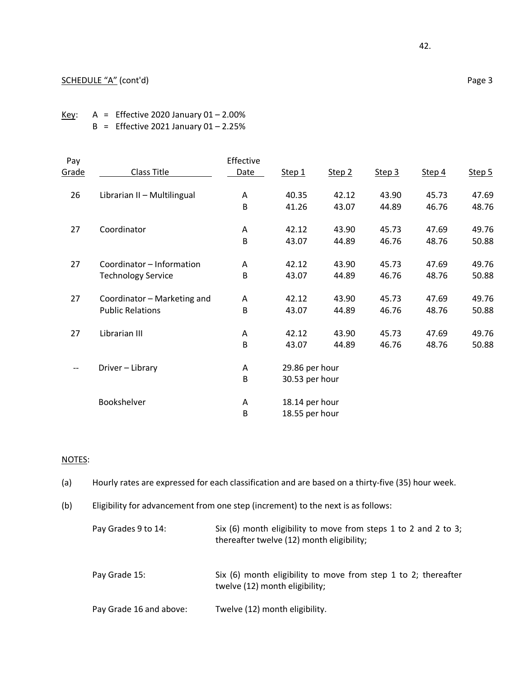# SCHEDULE "A" (cont'd) Page 3

Key:  $A =$  Effective 2020 January 01 – 2.00% B = Effective 2021 January  $01 - 2.25%$ 

| Pay   |                             | Effective |                |        |        |        |        |  |  |
|-------|-----------------------------|-----------|----------------|--------|--------|--------|--------|--|--|
| Grade | Class Title                 | Date      | Step 1         | Step 2 | Step 3 | Step 4 | Step 5 |  |  |
| 26    | Librarian II - Multilingual | A         | 40.35          | 42.12  | 43.90  | 45.73  | 47.69  |  |  |
|       |                             | B         | 41.26          | 43.07  | 44.89  | 46.76  | 48.76  |  |  |
| 27    | Coordinator                 | Α         | 42.12          | 43.90  | 45.73  | 47.69  | 49.76  |  |  |
|       |                             | B         | 43.07          | 44.89  | 46.76  | 48.76  | 50.88  |  |  |
| 27    | Coordinator - Information   | A         | 42.12          | 43.90  | 45.73  | 47.69  | 49.76  |  |  |
|       | <b>Technology Service</b>   | B         | 43.07          | 44.89  | 46.76  | 48.76  | 50.88  |  |  |
| 27    | Coordinator - Marketing and | Α         | 42.12          | 43.90  | 45.73  | 47.69  | 49.76  |  |  |
|       | <b>Public Relations</b>     | B         | 43.07          | 44.89  | 46.76  | 48.76  | 50.88  |  |  |
| 27    | Librarian III               | A         | 42.12          | 43.90  | 45.73  | 47.69  | 49.76  |  |  |
|       |                             | B         | 43.07          | 44.89  | 46.76  | 48.76  | 50.88  |  |  |
| --    | Driver - Library            | Α         | 29.86 per hour |        |        |        |        |  |  |
|       |                             | B         | 30.53 per hour |        |        |        |        |  |  |
|       | Bookshelver                 | Α         | 18.14 per hour |        |        |        |        |  |  |
|       |                             | В         | 18.55 per hour |        |        |        |        |  |  |

# NOTES:

(a) Hourly rates are expressed for each classification and are based on a thirty-five (35) hour week.

(b) Eligibility for advancement from one step (increment) to the next is as follows:

| Pay Grades 9 to 14:     | Six (6) month eligibility to move from steps 1 to 2 and 2 to 3;<br>thereafter twelve (12) month eligibility; |
|-------------------------|--------------------------------------------------------------------------------------------------------------|
| Pay Grade 15:           | Six (6) month eligibility to move from step 1 to 2; thereafter<br>twelve (12) month eligibility;             |
| Pay Grade 16 and above: | Twelve (12) month eligibility.                                                                               |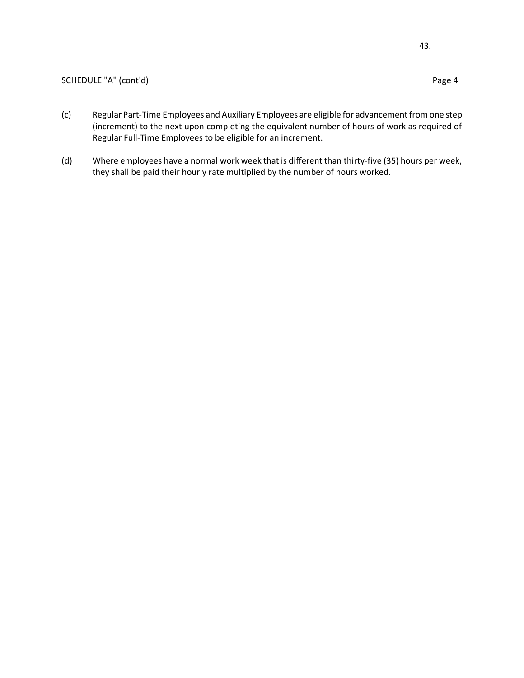# SCHEDULE "A" (cont'd) Page 4

- (c) Regular Part-Time Employees and Auxiliary Employees are eligible for advancement from one step (increment) to the next upon completing the equivalent number of hours of work as required of Regular Full-Time Employees to be eligible for an increment.
- (d) Where employees have a normal work week that is different than thirty-five (35) hours per week, they shall be paid their hourly rate multiplied by the number of hours worked.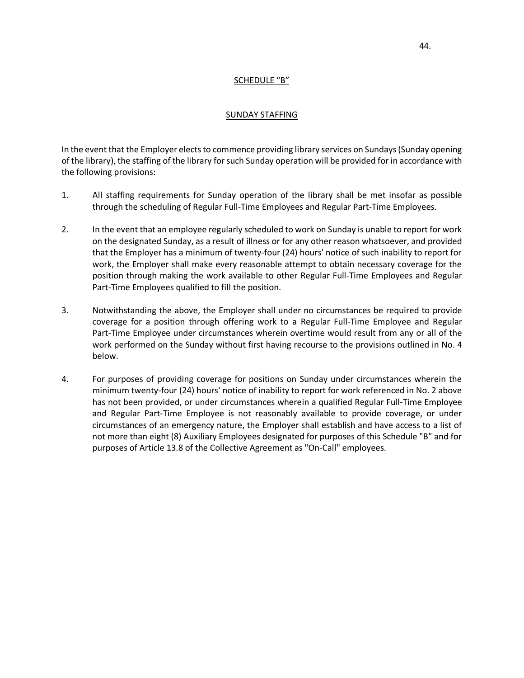# SCHEDULE "B"

### SUNDAY STAFFING

<span id="page-48-0"></span>In the event that the Employer elects to commence providing library services on Sundays (Sunday opening of the library), the staffing of the library for such Sunday operation will be provided for in accordance with the following provisions:

- 1. All staffing requirements for Sunday operation of the library shall be met insofar as possible through the scheduling of Regular Full-Time Employees and Regular Part-Time Employees.
- 2. In the event that an employee regularly scheduled to work on Sunday is unable to report for work on the designated Sunday, as a result of illness or for any other reason whatsoever, and provided that the Employer has a minimum of twenty-four (24) hours' notice of such inability to report for work, the Employer shall make every reasonable attempt to obtain necessary coverage for the position through making the work available to other Regular Full-Time Employees and Regular Part-Time Employees qualified to fill the position.
- 3. Notwithstanding the above, the Employer shall under no circumstances be required to provide coverage for a position through offering work to a Regular Full-Time Employee and Regular Part-Time Employee under circumstances wherein overtime would result from any or all of the work performed on the Sunday without first having recourse to the provisions outlined in No. 4 below.
- 4. For purposes of providing coverage for positions on Sunday under circumstances wherein the minimum twenty-four (24) hours' notice of inability to report for work referenced in No. 2 above has not been provided, or under circumstances wherein a qualified Regular Full-Time Employee and Regular Part-Time Employee is not reasonably available to provide coverage, or under circumstances of an emergency nature, the Employer shall establish and have access to a list of not more than eight (8) Auxiliary Employees designated for purposes of this Schedule "B" and for purposes of Article 13.8 of the Collective Agreement as "On-Call" employees.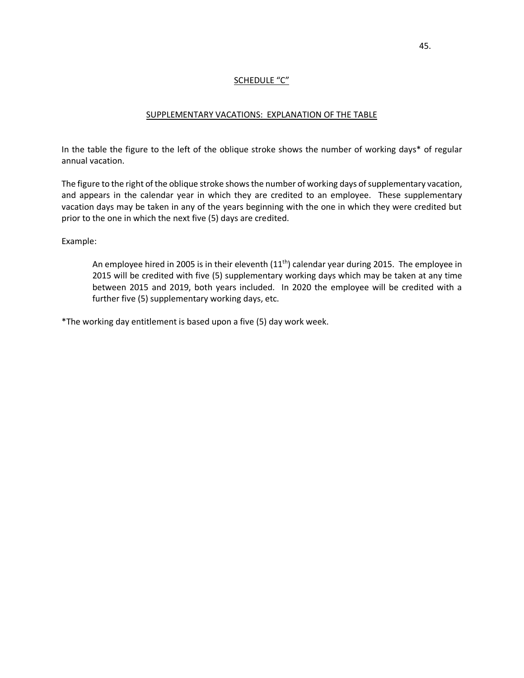# SCHEDULE "C"

# SUPPLEMENTARY VACATIONS: EXPLANATION OF THE TABLE

<span id="page-49-0"></span>In the table the figure to the left of the oblique stroke shows the number of working days\* of regular annual vacation.

The figure to the right of the oblique stroke shows the number of working days of supplementary vacation, and appears in the calendar year in which they are credited to an employee. These supplementary vacation days may be taken in any of the years beginning with the one in which they were credited but prior to the one in which the next five (5) days are credited.

Example:

An employee hired in 2005 is in their eleventh  $(11<sup>th</sup>)$  calendar year during 2015. The employee in 2015 will be credited with five (5) supplementary working days which may be taken at any time between 2015 and 2019, both years included. In 2020 the employee will be credited with a further five (5) supplementary working days, etc.

\*The working day entitlement is based upon a five (5) day work week.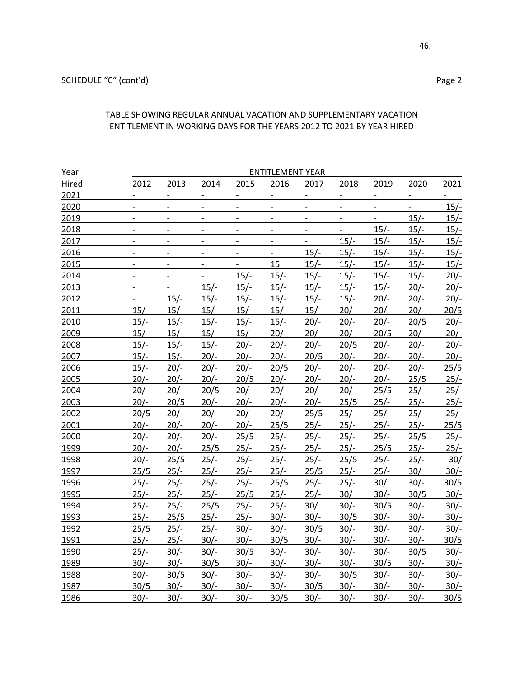# TABLE SHOWING REGULAR ANNUAL VACATION AND SUPPLEMENTARY VACATION ENTITLEMENT IN WORKING DAYS FOR THE YEARS 2012 TO 2021 BY YEAR HIRED

| Year  |                |                          |        |        | <b>ENTITLEMENT YEAR</b>  |                          |        |        |        |             |
|-------|----------------|--------------------------|--------|--------|--------------------------|--------------------------|--------|--------|--------|-------------|
| Hired | 2012           | 2013                     | 2014   | 2015   | 2016                     | 2017                     | 2018   | 2019   | 2020   | 2021        |
| 2021  |                |                          |        |        |                          | $\frac{1}{2}$            |        |        |        |             |
| 2020  |                | $\overline{\phantom{0}}$ |        |        | $\overline{\phantom{0}}$ | $\qquad \qquad -$        |        |        |        | $15/-$      |
| 2019  |                |                          |        |        |                          | $\overline{a}$           |        |        | $15/-$ | $15/-$      |
| 2018  | $\overline{a}$ | $\blacksquare$           |        |        | $\overline{a}$           | $\overline{\phantom{a}}$ |        | $15/-$ | $15/-$ | $15/-$      |
| 2017  | $\overline{a}$ | $\overline{a}$           |        |        | $\overline{\phantom{0}}$ |                          | $15/-$ | $15/-$ | $15/-$ | $15/-$      |
| 2016  |                | $\blacksquare$           |        |        |                          | $15/-$                   | $15/-$ | $15/-$ | $15/-$ | <u>15/-</u> |
| 2015  | $\overline{a}$ | $\overline{\phantom{a}}$ |        |        | 15                       | $15/-$                   | $15/-$ | $15/-$ | $15/-$ | $15/-$      |
| 2014  |                |                          |        | $15/-$ | $15/-$                   | $15/-$                   | $15/-$ | $15/-$ | $15/-$ | $20/-$      |
| 2013  |                | $\frac{1}{2}$            | $15/-$ | $15/-$ | $15/-$                   | $15/-$                   | $15/-$ | $15/-$ | $20/-$ | $20/-$      |
| 2012  | $\overline{a}$ | $15/-$                   | $15/-$ | $15/-$ | $15/-$                   | $15/-$                   | $15/-$ | $20/-$ | $20/-$ | $20/-$      |
| 2011  | $15/-$         | $15/-$                   | $15/-$ | $15/-$ | $15/-$                   | $15/-$                   | $20/-$ | $20/-$ | $20/-$ | 20/5        |
| 2010  | $15/-$         | $15/-$                   | $15/-$ | $15/-$ | $15/-$                   | $20/-$                   | $20/-$ | $20/-$ | 20/5   | $20/-$      |
| 2009  | $15/-$         | $15/-$                   | $15/-$ | $15/-$ | $20/-$                   | $20/-$                   | $20/-$ | 20/5   | $20/-$ | $20/-$      |
| 2008  | $15/-$         | $15/-$                   | $15/-$ | $20/-$ | $20/-$                   | $20/-$                   | 20/5   | $20/-$ | $20/-$ | $20/-$      |
| 2007  | $15/-$         | $15/-$                   | $20/-$ | $20/-$ | $20/-$                   | 20/5                     | $20/-$ | $20/-$ | $20/-$ | $20/-$      |
| 2006  | $15/-$         | $20/-$                   | $20/-$ | $20/-$ | 20/5                     | $20/-$                   | $20/-$ | $20/-$ | $20/-$ | 25/5        |
| 2005  | $20/-$         | $20/-$                   | $20/-$ | 20/5   | $20/-$                   | $20/-$                   | $20/-$ | $20/-$ | 25/5   | $25/-$      |
| 2004  | $20/-$         | $20/-$                   | 20/5   | $20/-$ | $20/-$                   | $20/-$                   | $20/-$ | 25/5   | $25/-$ | $25/-$      |
| 2003  | $20/-$         | 20/5                     | $20/-$ | $20/-$ | $20/-$                   | $20/-$                   | 25/5   | $25/-$ | $25/-$ | $25/-$      |
| 2002  | 20/5           | $20/-$                   | $20/-$ | $20/-$ | $20/-$                   | 25/5                     | $25/-$ | $25/-$ | $25/-$ | $25/-$      |
| 2001  | $20/-$         | $20/-$                   | $20/-$ | $20/-$ | 25/5                     | $25/-$                   | $25/-$ | $25/-$ | $25/-$ | 25/5        |
| 2000  | $20/-$         | $20/-$                   | $20/-$ | 25/5   | $25/-$                   | $25/-$                   | $25/-$ | $25/-$ | 25/5   | $25/-$      |
| 1999  | $20/-$         | $20/-$                   | 25/5   | $25/-$ | $25/-$                   | $25/-$                   | $25/-$ | 25/5   | $25/-$ | $25/-$      |
| 1998  | $20/-$         | 25/5                     | $25/-$ | $25/-$ | $25/-$                   | $25/-$                   | 25/5   | $25/-$ | $25/-$ | 30/         |
| 1997  | 25/5           | $25/-$                   | $25/-$ | $25/-$ | $25/-$                   | 25/5                     | $25/-$ | $25/-$ | 30/    | $30/-$      |
| 1996  | $25/-$         | $25/-$                   | $25/-$ | $25/-$ | 25/5                     | $25/-$                   | $25/-$ | 30/    | $30/-$ | 30/5        |
| 1995  | $25/-$         | $25/-$                   | $25/-$ | 25/5   | $25/-$                   | $25/-$                   | 30/    | $30/-$ | 30/5   | $30/-$      |
| 1994  | $25/-$         | $25/-$                   | 25/5   | $25/-$ | $25/-$                   | 30/                      | $30/-$ | 30/5   | $30/-$ | $30/-$      |
| 1993  | $25/-$         | 25/5                     | $25/-$ | $25/-$ | $30/-$                   | $30/-$                   | 30/5   | $30/-$ | $30/-$ | $30/-$      |
| 1992  | 25/5           | $25/-$                   | $25/-$ | $30/-$ | $30/-$                   | 30/5                     | $30/-$ | $30/-$ | $30/-$ | $30/-$      |
| 1991  | $25/-$         | $25/-$                   | $30/-$ | $30/-$ | 30/5                     | $30/-$                   | $30/-$ | $30/-$ | $30/-$ | 30/5        |
| 1990  | $25/-$         | $30/-$                   | $30/-$ | 30/5   | $30/-$                   | $30/-$                   | $30/-$ | $30/-$ | 30/5   | $30/-$      |
| 1989  | $30/-$         | $30/-$                   | 30/5   | $30/-$ | $30/-$                   | $30/-$                   | $30/-$ | 30/5   | $30/-$ | $30/-$      |
| 1988  | $30/-$         | 30/5                     | $30/-$ | $30/-$ | $30/-$                   | $30/-$                   | 30/5   | $30/-$ | $30/-$ | $30/-$      |
| 1987  | 30/5           | $30/-$                   | $30/-$ | $30/-$ | $30/-$                   | 30/5                     | $30/-$ | $30/-$ | $30/-$ | $30/-$      |
| 1986  | $30/-$         | $30/-$                   | $30/-$ | $30/-$ | 30/5                     | $30/-$                   | $30/-$ | $30/-$ | $30/-$ | 30/5        |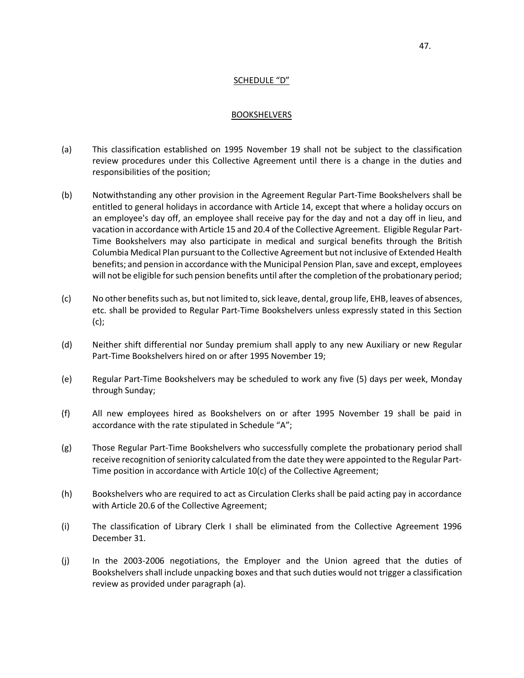# SCHEDULE "D"

#### BOOKSHELVERS

- <span id="page-51-0"></span>(a) This classification established on 1995 November 19 shall not be subject to the classification review procedures under this Collective Agreement until there is a change in the duties and responsibilities of the position;
- (b) Notwithstanding any other provision in the Agreement Regular Part-Time Bookshelvers shall be entitled to general holidays in accordance with Article 14, except that where a holiday occurs on an employee's day off, an employee shall receive pay for the day and not a day off in lieu, and vacation in accordance with Article 15 and 20.4 of the Collective Agreement. Eligible Regular Part-Time Bookshelvers may also participate in medical and surgical benefits through the British Columbia Medical Plan pursuant to the Collective Agreement but not inclusive of Extended Health benefits; and pension in accordance with the Municipal Pension Plan, save and except, employees will not be eligible for such pension benefits until after the completion of the probationary period;
- (c) No other benefits such as, but not limited to, sick leave, dental, group life, EHB, leaves of absences, etc. shall be provided to Regular Part-Time Bookshelvers unless expressly stated in this Section (c);
- (d) Neither shift differential nor Sunday premium shall apply to any new Auxiliary or new Regular Part-Time Bookshelvers hired on or after 1995 November 19;
- (e) Regular Part-Time Bookshelvers may be scheduled to work any five (5) days per week, Monday through Sunday;
- (f) All new employees hired as Bookshelvers on or after 1995 November 19 shall be paid in accordance with the rate stipulated in Schedule "A";
- (g) Those Regular Part-Time Bookshelvers who successfully complete the probationary period shall receive recognition of seniority calculated from the date they were appointed to the Regular Part-Time position in accordance with Article 10(c) of the Collective Agreement;
- (h) Bookshelvers who are required to act as Circulation Clerks shall be paid acting pay in accordance with Article 20.6 of the Collective Agreement;
- (i) The classification of Library Clerk I shall be eliminated from the Collective Agreement 1996 December 31.
- (j) In the 2003-2006 negotiations, the Employer and the Union agreed that the duties of Bookshelvers shall include unpacking boxes and that such duties would not trigger a classification review as provided under paragraph (a).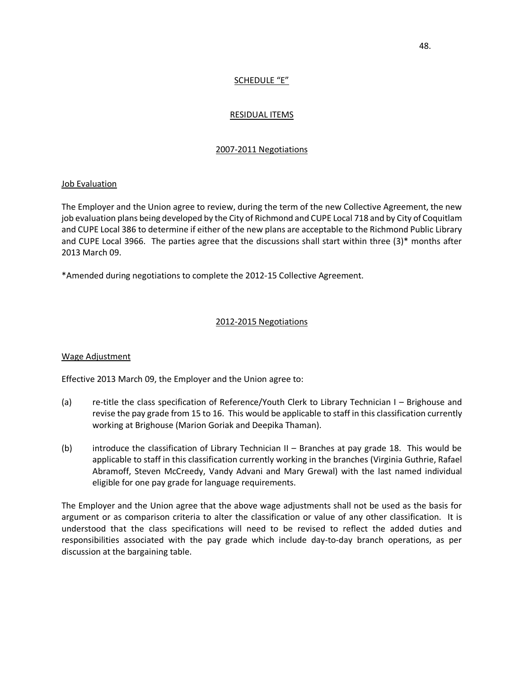# SCHEDULE "E"

# RESIDUAL ITEMS

# 2007-2011 Negotiations

# <span id="page-52-0"></span>Job Evaluation

The Employer and the Union agree to review, during the term of the new Collective Agreement, the new job evaluation plans being developed by the City of Richmond and CUPE Local 718 and by City of Coquitlam and CUPE Local 386 to determine if either of the new plans are acceptable to the Richmond Public Library and CUPE Local 3966. The parties agree that the discussions shall start within three (3)\* months after 2013 March 09.

\*Amended during negotiations to complete the 2012-15 Collective Agreement.

## 2012-2015 Negotiations

### Wage Adjustment

Effective 2013 March 09, the Employer and the Union agree to:

- (a) re-title the class specification of Reference/Youth Clerk to Library Technician I Brighouse and revise the pay grade from 15 to 16. This would be applicable to staff in this classification currently working at Brighouse (Marion Goriak and Deepika Thaman).
- (b) introduce the classification of Library Technician II Branches at pay grade 18. This would be applicable to staff in this classification currently working in the branches (Virginia Guthrie, Rafael Abramoff, Steven McCreedy, Vandy Advani and Mary Grewal) with the last named individual eligible for one pay grade for language requirements.

The Employer and the Union agree that the above wage adjustments shall not be used as the basis for argument or as comparison criteria to alter the classification or value of any other classification. It is understood that the class specifications will need to be revised to reflect the added duties and responsibilities associated with the pay grade which include day-to-day branch operations, as per discussion at the bargaining table.